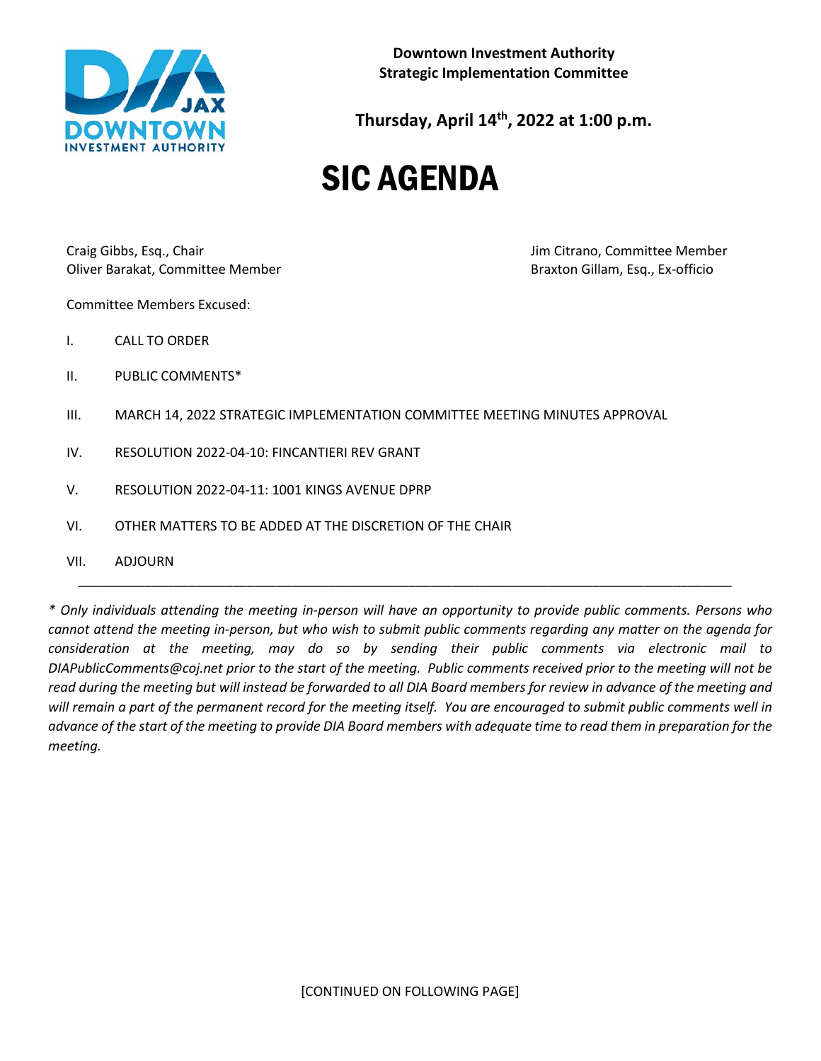

**Downtown Investment Authority Strategic Implementation Committee**

**Thursday, April 14th, 2022 at 1:00 p.m.**

# SIC AGENDA

Craig Gibbs, Esq., Chair **Jim Citrano**, Committee Member Oliver Barakat, Committee Member Braxton Gillam, Esq., Ex-officio

Committee Members Excused:

- I. CALL TO ORDER
- II. PUBLIC COMMENTS\*
- III. MARCH 14, 2022 STRATEGIC IMPLEMENTATION COMMITTEE MEETING MINUTES APPROVAL
- IV. RESOLUTION 2022-04-10: FINCANTIERI REV GRANT
- V. RESOLUTION 2022-04-11: 1001 KINGS AVENUE DPRP
- VI. OTHER MATTERS TO BE ADDED AT THE DISCRETION OF THE CHAIR
- VII. ADJOURN

*\* Only individuals attending the meeting in-person will have an opportunity to provide public comments. Persons who cannot attend the meeting in-person, but who wish to submit public comments regarding any matter on the agenda for consideration at the meeting, may do so by sending their public comments via electronic mail to DIAPublicComments@coj.net prior to the start of the meeting. Public comments received prior to the meeting will not be read during the meeting but will instead be forwarded to all DIA Board members for review in advance of the meeting and will remain a part of the permanent record for the meeting itself. You are encouraged to submit public comments well in advance of the start of the meeting to provide DIA Board members with adequate time to read them in preparation for the meeting.*

\_\_\_\_\_\_\_\_\_\_\_\_\_\_\_\_\_\_\_\_\_\_\_\_\_\_\_\_\_\_\_\_\_\_\_\_\_\_\_\_\_\_\_\_\_\_\_\_\_\_\_\_\_\_\_\_\_\_\_\_\_\_\_\_\_\_\_\_\_\_\_\_\_\_\_\_\_\_\_\_\_\_\_\_\_\_\_\_\_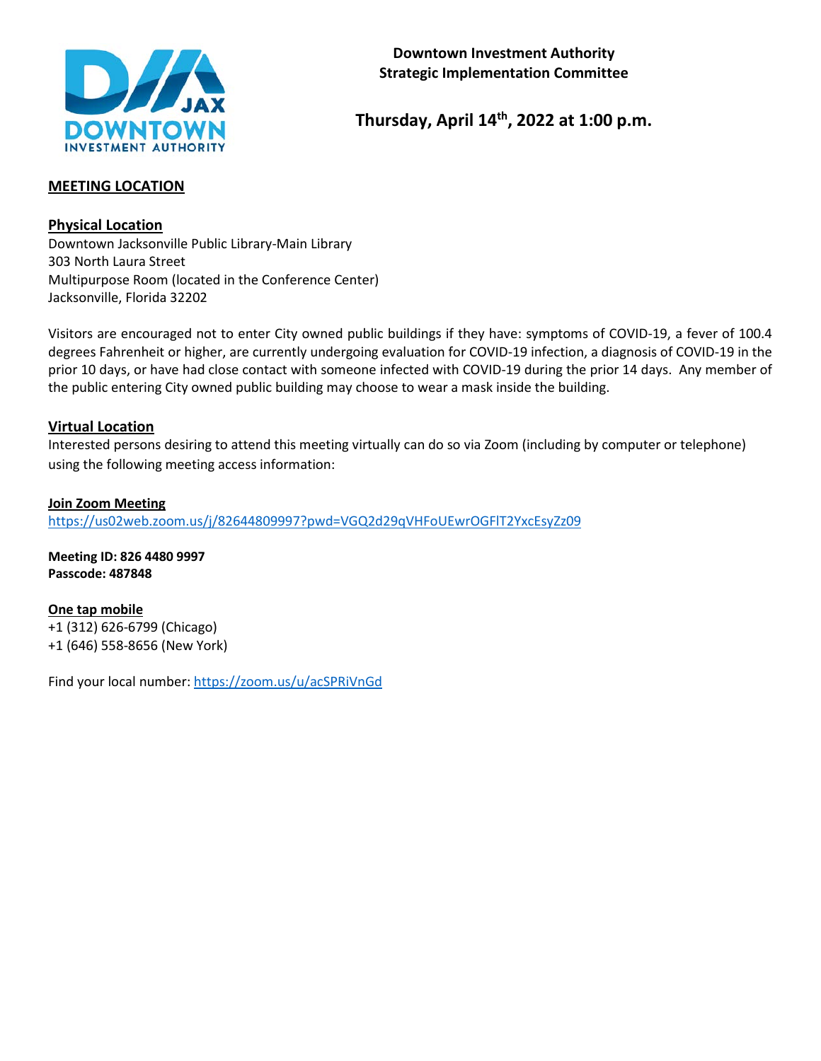

# **Thursday, April 14th, 2022 at 1:00 p.m.**

#### **MEETING LOCATION**

**Physical Location**

Downtown Jacksonville Public Library-Main Library 303 North Laura Street Multipurpose Room (located in the Conference Center) Jacksonville, Florida 32202

Visitors are encouraged not to enter City owned public buildings if they have: symptoms of COVID-19, a fever of 100.4 degrees Fahrenheit or higher, are currently undergoing evaluation for COVID-19 infection, a diagnosis of COVID-19 in the prior 10 days, or have had close contact with someone infected with COVID-19 during the prior 14 days. Any member of the public entering City owned public building may choose to wear a mask inside the building.

#### **Virtual Location**

Interested persons desiring to attend this meeting virtually can do so via Zoom (including by computer or telephone) using the following meeting access information:

**Join Zoom Meeting** <https://us02web.zoom.us/j/82644809997?pwd=VGQ2d29qVHFoUEwrOGFlT2YxcEsyZz09>

**Meeting ID: 826 4480 9997 Passcode: 487848**

**One tap mobile** +1 (312) 626-6799 (Chicago) +1 (646) 558-8656 (New York)

Find your local number[: https://zoom.us/u/acSPRiVnGd](https://zoom.us/u/acSPRiVnGd)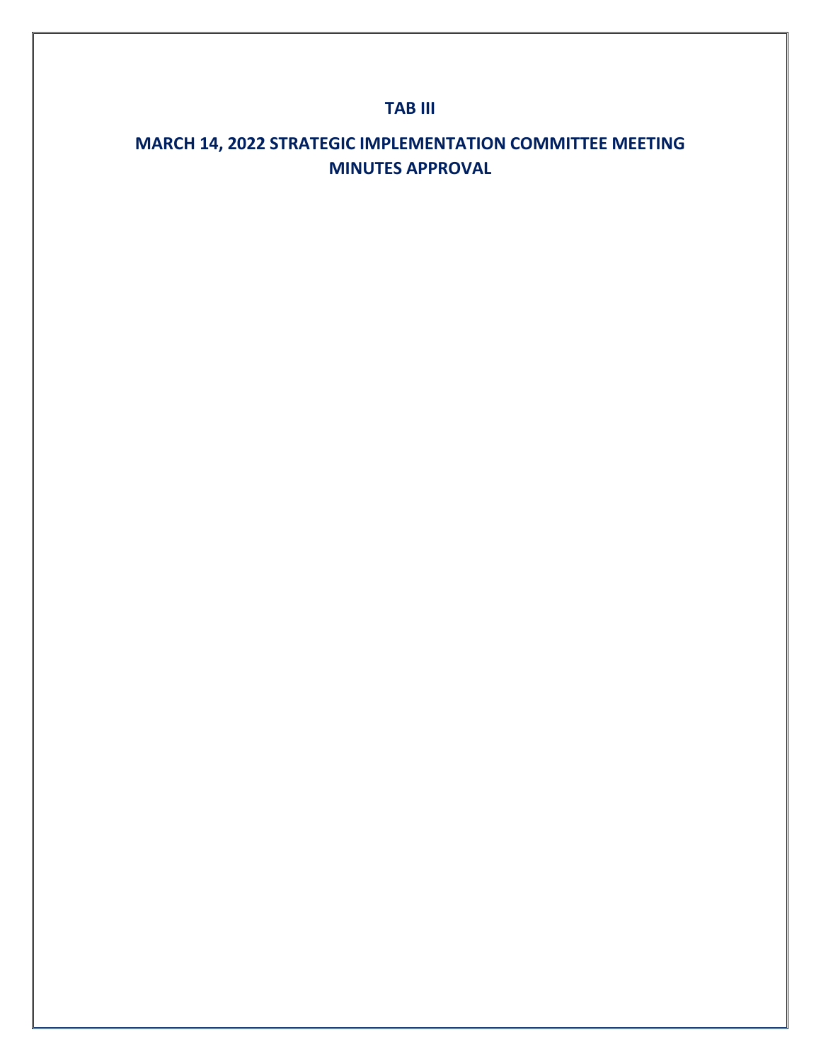# **TAB III**

# **MARCH 14, 2022 STRATEGIC IMPLEMENTATION COMMITTEE MEETING MINUTES APPROVAL**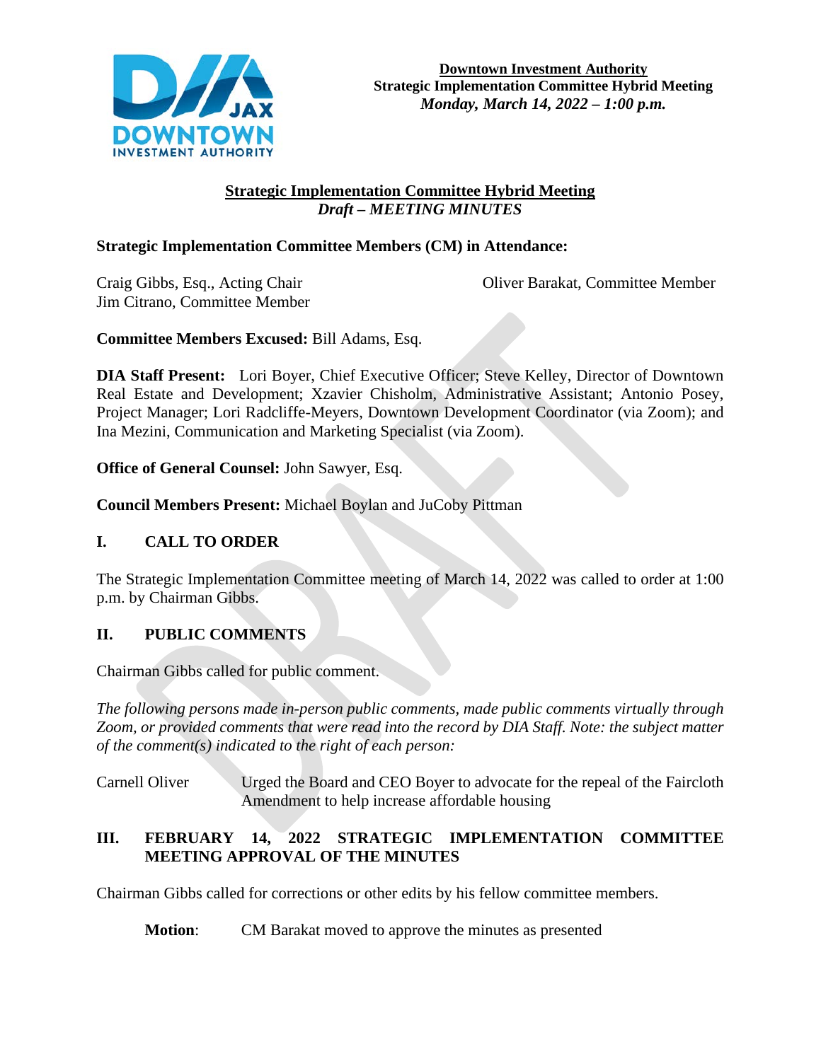

# **Strategic Implementation Committee Hybrid Meeting**  *Draft – MEETING MINUTES*

# **Strategic Implementation Committee Members (CM) in Attendance:**

Jim Citrano, Committee Member

Craig Gibbs, Esq., Acting Chair Oliver Barakat, Committee Member

**Committee Members Excused:** Bill Adams, Esq.

**DIA Staff Present:** Lori Boyer, Chief Executive Officer; Steve Kelley, Director of Downtown Real Estate and Development; Xzavier Chisholm, Administrative Assistant; Antonio Posey, Project Manager; Lori Radcliffe-Meyers, Downtown Development Coordinator (via Zoom); and Ina Mezini, Communication and Marketing Specialist (via Zoom).

**Office of General Counsel:** John Sawyer, Esq.

**Council Members Present:** Michael Boylan and JuCoby Pittman

# **I. CALL TO ORDER**

The Strategic Implementation Committee meeting of March 14, 2022 was called to order at 1:00 p.m. by Chairman Gibbs.

# **II. PUBLIC COMMENTS**

Chairman Gibbs called for public comment.

*The following persons made in-person public comments, made public comments virtually through Zoom, or provided comments that were read into the record by DIA Staff. Note: the subject matter of the comment(s) indicated to the right of each person:*

Carnell Oliver Urged the Board and CEO Boyer to advocate for the repeal of the Faircloth Amendment to help increase affordable housing

# **III. FEBRUARY 14, 2022 STRATEGIC IMPLEMENTATION COMMITTEE MEETING APPROVAL OF THE MINUTES**

Chairman Gibbs called for corrections or other edits by his fellow committee members.

**Motion**: CM Barakat moved to approve the minutes as presented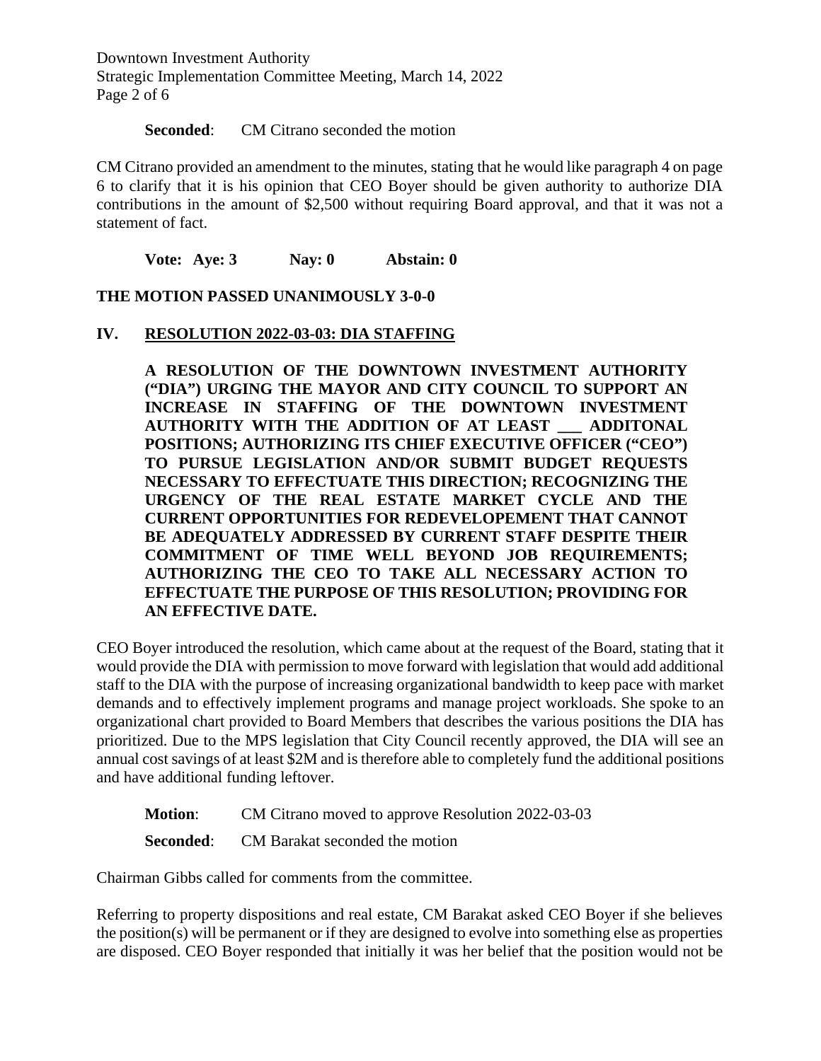Downtown Investment Authority Strategic Implementation Committee Meeting, March 14, 2022 Page 2 of 6

#### **Seconded:** CM Citrano seconded the motion

CM Citrano provided an amendment to the minutes, stating that he would like paragraph 4 on page 6 to clarify that it is his opinion that CEO Boyer should be given authority to authorize DIA contributions in the amount of \$2,500 without requiring Board approval, and that it was not a statement of fact.

**Vote: Aye: 3 Nay: 0 Abstain: 0** 

**THE MOTION PASSED UNANIMOUSLY 3-0-0**

#### **IV. RESOLUTION 2022-03-03: DIA STAFFING**

**A RESOLUTION OF THE DOWNTOWN INVESTMENT AUTHORITY ("DIA") URGING THE MAYOR AND CITY COUNCIL TO SUPPORT AN INCREASE IN STAFFING OF THE DOWNTOWN INVESTMENT AUTHORITY WITH THE ADDITION OF AT LEAST \_\_\_ ADDITONAL POSITIONS; AUTHORIZING ITS CHIEF EXECUTIVE OFFICER ("CEO") TO PURSUE LEGISLATION AND/OR SUBMIT BUDGET REQUESTS NECESSARY TO EFFECTUATE THIS DIRECTION; RECOGNIZING THE URGENCY OF THE REAL ESTATE MARKET CYCLE AND THE CURRENT OPPORTUNITIES FOR REDEVELOPEMENT THAT CANNOT BE ADEQUATELY ADDRESSED BY CURRENT STAFF DESPITE THEIR COMMITMENT OF TIME WELL BEYOND JOB REQUIREMENTS; AUTHORIZING THE CEO TO TAKE ALL NECESSARY ACTION TO EFFECTUATE THE PURPOSE OF THIS RESOLUTION; PROVIDING FOR AN EFFECTIVE DATE.**

CEO Boyer introduced the resolution, which came about at the request of the Board, stating that it would provide the DIA with permission to move forward with legislation that would add additional staff to the DIA with the purpose of increasing organizational bandwidth to keep pace with market demands and to effectively implement programs and manage project workloads. She spoke to an organizational chart provided to Board Members that describes the various positions the DIA has prioritized. Due to the MPS legislation that City Council recently approved, the DIA will see an annual cost savings of at least \$2M and is therefore able to completely fund the additional positions and have additional funding leftover.

- **Motion**: CM Citrano moved to approve Resolution 2022-03-03
- **Seconded:** CM Barakat seconded the motion

Chairman Gibbs called for comments from the committee.

Referring to property dispositions and real estate, CM Barakat asked CEO Boyer if she believes the position(s) will be permanent or if they are designed to evolve into something else as properties are disposed. CEO Boyer responded that initially it was her belief that the position would not be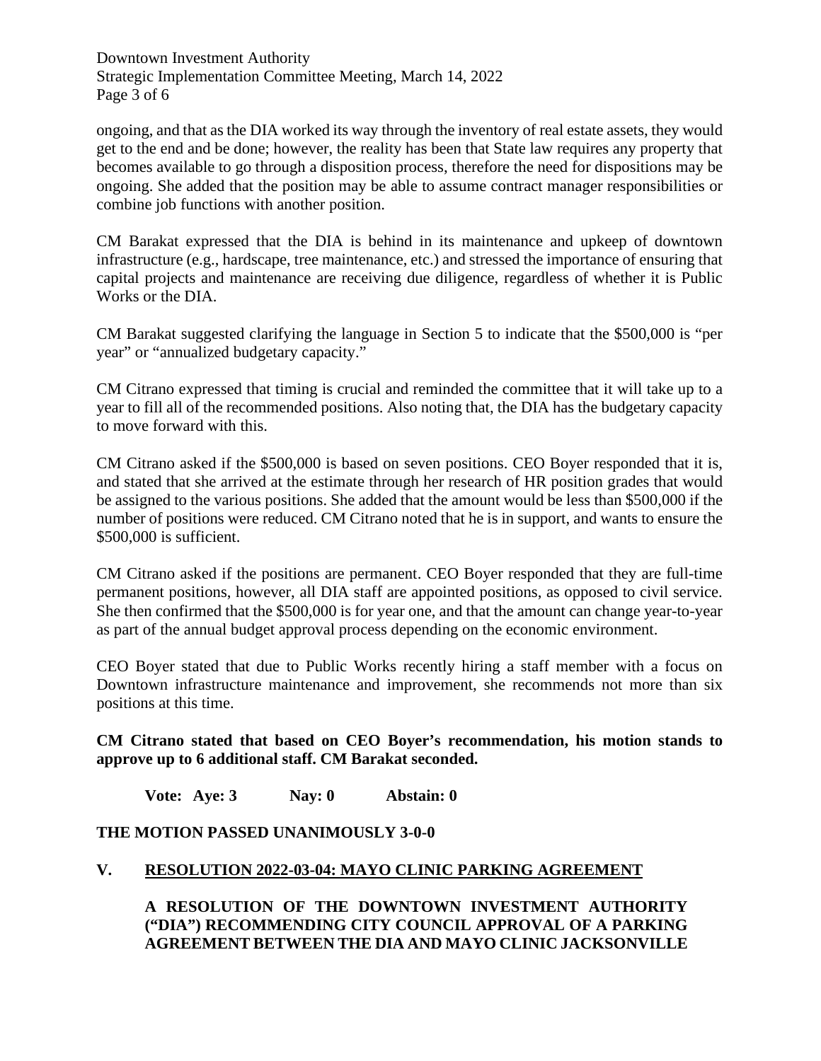Downtown Investment Authority Strategic Implementation Committee Meeting, March 14, 2022 Page 3 of 6

ongoing, and that as the DIA worked its way through the inventory of real estate assets, they would get to the end and be done; however, the reality has been that State law requires any property that becomes available to go through a disposition process, therefore the need for dispositions may be ongoing. She added that the position may be able to assume contract manager responsibilities or combine job functions with another position.

CM Barakat expressed that the DIA is behind in its maintenance and upkeep of downtown infrastructure (e.g., hardscape, tree maintenance, etc.) and stressed the importance of ensuring that capital projects and maintenance are receiving due diligence, regardless of whether it is Public Works or the DIA.

CM Barakat suggested clarifying the language in Section 5 to indicate that the \$500,000 is "per year" or "annualized budgetary capacity."

CM Citrano expressed that timing is crucial and reminded the committee that it will take up to a year to fill all of the recommended positions. Also noting that, the DIA has the budgetary capacity to move forward with this.

CM Citrano asked if the \$500,000 is based on seven positions. CEO Boyer responded that it is, and stated that she arrived at the estimate through her research of HR position grades that would be assigned to the various positions. She added that the amount would be less than \$500,000 if the number of positions were reduced. CM Citrano noted that he is in support, and wants to ensure the \$500,000 is sufficient.

CM Citrano asked if the positions are permanent. CEO Boyer responded that they are full-time permanent positions, however, all DIA staff are appointed positions, as opposed to civil service. She then confirmed that the \$500,000 is for year one, and that the amount can change year-to-year as part of the annual budget approval process depending on the economic environment.

CEO Boyer stated that due to Public Works recently hiring a staff member with a focus on Downtown infrastructure maintenance and improvement, she recommends not more than six positions at this time.

**CM Citrano stated that based on CEO Boyer's recommendation, his motion stands to approve up to 6 additional staff. CM Barakat seconded.**

**Vote: Aye: 3 Nay: 0 Abstain: 0** 

# **THE MOTION PASSED UNANIMOUSLY 3-0-0**

#### **V. RESOLUTION 2022-03-04: MAYO CLINIC PARKING AGREEMENT**

**A RESOLUTION OF THE DOWNTOWN INVESTMENT AUTHORITY ("DIA") RECOMMENDING CITY COUNCIL APPROVAL OF A PARKING AGREEMENT BETWEEN THE DIA AND MAYO CLINIC JACKSONVILLE**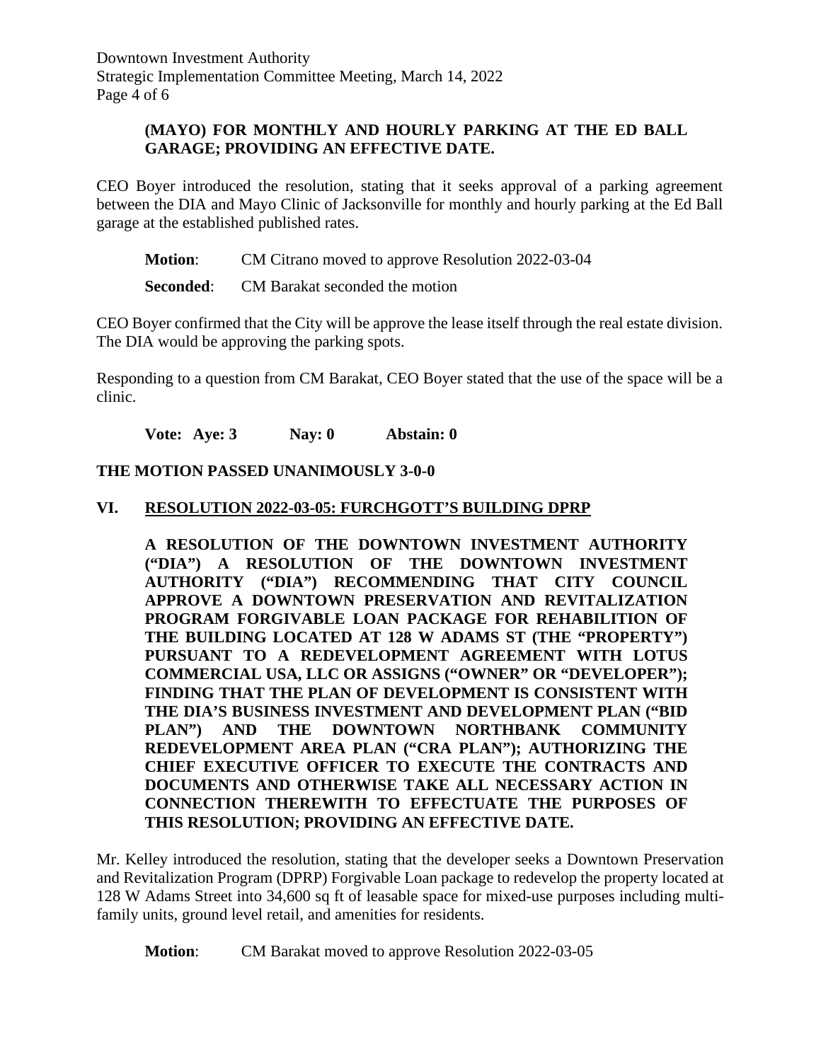Downtown Investment Authority Strategic Implementation Committee Meeting, March 14, 2022 Page 4 of 6

#### **(MAYO) FOR MONTHLY AND HOURLY PARKING AT THE ED BALL GARAGE; PROVIDING AN EFFECTIVE DATE.**

CEO Boyer introduced the resolution, stating that it seeks approval of a parking agreement between the DIA and Mayo Clinic of Jacksonville for monthly and hourly parking at the Ed Ball garage at the established published rates.

**Motion**: CM Citrano moved to approve Resolution 2022-03-04

**Seconded:** CM Barakat seconded the motion

CEO Boyer confirmed that the City will be approve the lease itself through the real estate division. The DIA would be approving the parking spots.

Responding to a question from CM Barakat, CEO Boyer stated that the use of the space will be a clinic.

**Vote: Aye: 3 Nay: 0 Abstain: 0** 

#### **THE MOTION PASSED UNANIMOUSLY 3-0-0**

#### **VI. RESOLUTION 2022-03-05: FURCHGOTT'S BUILDING DPRP**

**A RESOLUTION OF THE DOWNTOWN INVESTMENT AUTHORITY ("DIA") A RESOLUTION OF THE DOWNTOWN INVESTMENT AUTHORITY ("DIA") RECOMMENDING THAT CITY COUNCIL APPROVE A DOWNTOWN PRESERVATION AND REVITALIZATION PROGRAM FORGIVABLE LOAN PACKAGE FOR REHABILITION OF THE BUILDING LOCATED AT 128 W ADAMS ST (THE "PROPERTY") PURSUANT TO A REDEVELOPMENT AGREEMENT WITH LOTUS COMMERCIAL USA, LLC OR ASSIGNS ("OWNER" OR "DEVELOPER"); FINDING THAT THE PLAN OF DEVELOPMENT IS CONSISTENT WITH THE DIA'S BUSINESS INVESTMENT AND DEVELOPMENT PLAN ("BID PLAN") AND THE DOWNTOWN NORTHBANK COMMUNITY REDEVELOPMENT AREA PLAN ("CRA PLAN"); AUTHORIZING THE CHIEF EXECUTIVE OFFICER TO EXECUTE THE CONTRACTS AND DOCUMENTS AND OTHERWISE TAKE ALL NECESSARY ACTION IN CONNECTION THEREWITH TO EFFECTUATE THE PURPOSES OF THIS RESOLUTION; PROVIDING AN EFFECTIVE DATE.**

Mr. Kelley introduced the resolution, stating that the developer seeks a Downtown Preservation and Revitalization Program (DPRP) Forgivable Loan package to redevelop the property located at 128 W Adams Street into 34,600 sq ft of leasable space for mixed-use purposes including multifamily units, ground level retail, and amenities for residents.

**Motion**: CM Barakat moved to approve Resolution 2022-03-05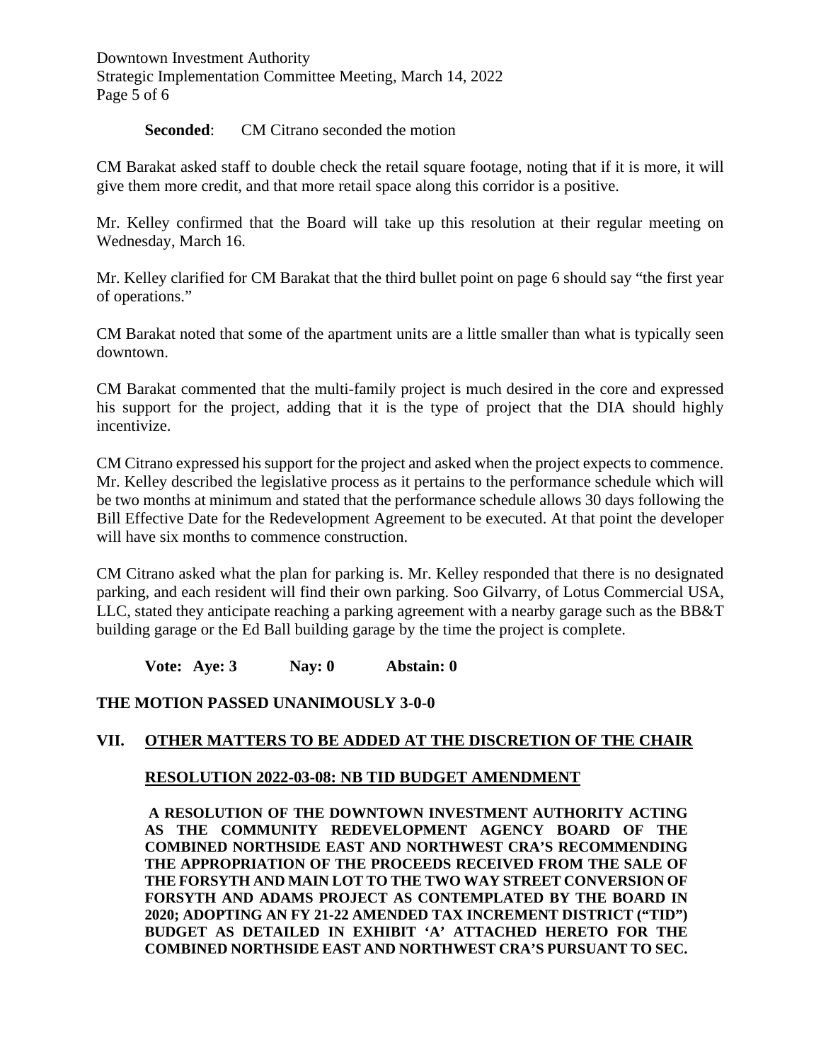Downtown Investment Authority Strategic Implementation Committee Meeting, March 14, 2022 Page 5 of 6

#### **Seconded:** CM Citrano seconded the motion

CM Barakat asked staff to double check the retail square footage, noting that if it is more, it will give them more credit, and that more retail space along this corridor is a positive.

Mr. Kelley confirmed that the Board will take up this resolution at their regular meeting on Wednesday, March 16.

Mr. Kelley clarified for CM Barakat that the third bullet point on page 6 should say "the first year of operations."

CM Barakat noted that some of the apartment units are a little smaller than what is typically seen downtown.

CM Barakat commented that the multi-family project is much desired in the core and expressed his support for the project, adding that it is the type of project that the DIA should highly incentivize.

CM Citrano expressed his support for the project and asked when the project expects to commence. Mr. Kelley described the legislative process as it pertains to the performance schedule which will be two months at minimum and stated that the performance schedule allows 30 days following the Bill Effective Date for the Redevelopment Agreement to be executed. At that point the developer will have six months to commence construction.

CM Citrano asked what the plan for parking is. Mr. Kelley responded that there is no designated parking, and each resident will find their own parking. Soo Gilvarry, of Lotus Commercial USA, LLC, stated they anticipate reaching a parking agreement with a nearby garage such as the BB&T building garage or the Ed Ball building garage by the time the project is complete.

**Vote: Aye: 3 Nay: 0 Abstain: 0** 

# **THE MOTION PASSED UNANIMOUSLY 3-0-0**

# **VII. OTHER MATTERS TO BE ADDED AT THE DISCRETION OF THE CHAIR**

#### **RESOLUTION 2022-03-08: NB TID BUDGET AMENDMENT**

**A RESOLUTION OF THE DOWNTOWN INVESTMENT AUTHORITY ACTING AS THE COMMUNITY REDEVELOPMENT AGENCY BOARD OF THE COMBINED NORTHSIDE EAST AND NORTHWEST CRA'S RECOMMENDING THE APPROPRIATION OF THE PROCEEDS RECEIVED FROM THE SALE OF THE FORSYTH AND MAIN LOT TO THE TWO WAY STREET CONVERSION OF FORSYTH AND ADAMS PROJECT AS CONTEMPLATED BY THE BOARD IN 2020; ADOPTING AN FY 21-22 AMENDED TAX INCREMENT DISTRICT ("TID") BUDGET AS DETAILED IN EXHIBIT 'A' ATTACHED HERETO FOR THE COMBINED NORTHSIDE EAST AND NORTHWEST CRA'S PURSUANT TO SEC.**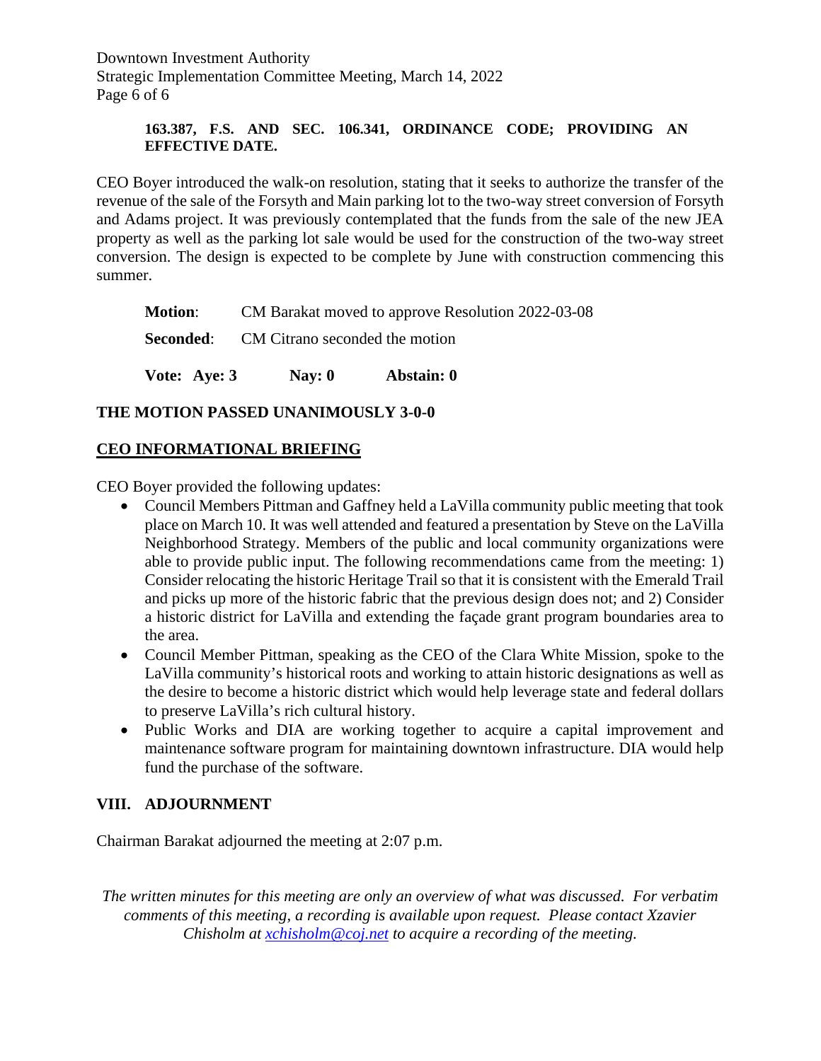Downtown Investment Authority Strategic Implementation Committee Meeting, March 14, 2022 Page 6 of 6

#### **163.387, F.S. AND SEC. 106.341, ORDINANCE CODE; PROVIDING AN EFFECTIVE DATE.**

CEO Boyer introduced the walk-on resolution, stating that it seeks to authorize the transfer of the revenue of the sale of the Forsyth and Main parking lot to the two-way street conversion of Forsyth and Adams project. It was previously contemplated that the funds from the sale of the new JEA property as well as the parking lot sale would be used for the construction of the two-way street conversion. The design is expected to be complete by June with construction commencing this summer.

| <b>Seconded:</b> CM Citrano seconded the motion                  |  |
|------------------------------------------------------------------|--|
| <b>Motion:</b> CM Barakat moved to approve Resolution 2022-03-08 |  |

# **THE MOTION PASSED UNANIMOUSLY 3-0-0**

# **CEO INFORMATIONAL BRIEFING**

CEO Boyer provided the following updates:

- Council Members Pittman and Gaffney held a LaVilla community public meeting that took place on March 10. It was well attended and featured a presentation by Steve on the LaVilla Neighborhood Strategy. Members of the public and local community organizations were able to provide public input. The following recommendations came from the meeting: 1) Consider relocating the historic Heritage Trail so that it is consistent with the Emerald Trail and picks up more of the historic fabric that the previous design does not; and 2) Consider a historic district for LaVilla and extending the façade grant program boundaries area to the area.
- Council Member Pittman, speaking as the CEO of the Clara White Mission, spoke to the LaVilla community's historical roots and working to attain historic designations as well as the desire to become a historic district which would help leverage state and federal dollars to preserve LaVilla's rich cultural history.
- Public Works and DIA are working together to acquire a capital improvement and maintenance software program for maintaining downtown infrastructure. DIA would help fund the purchase of the software.

# **VIII. ADJOURNMENT**

Chairman Barakat adjourned the meeting at 2:07 p.m.

*The written minutes for this meeting are only an overview of what was discussed. For verbatim comments of this meeting, a recording is available upon request. Please contact Xzavier Chisholm at [xchisholm@coj.net](mailto:xchisholm@coj.net) to acquire a recording of the meeting.*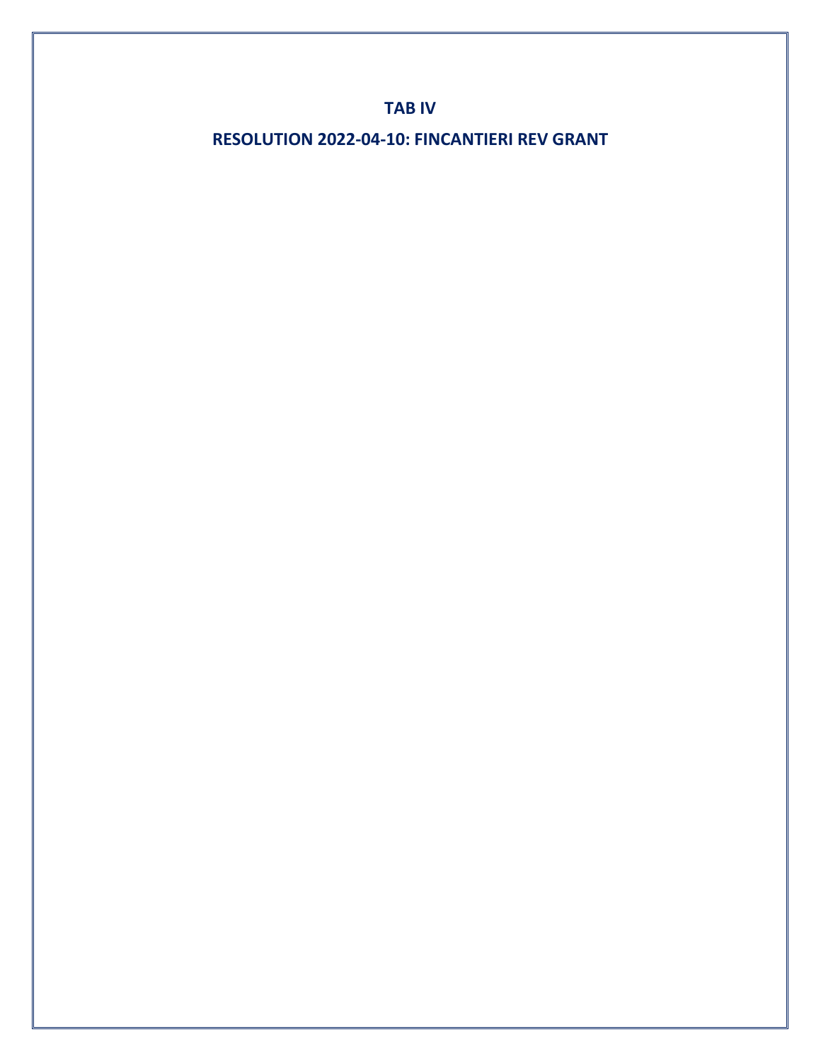# **TAB IV**

**RESOLUTION 2022-04-10: FINCANTIERI REV GRANT**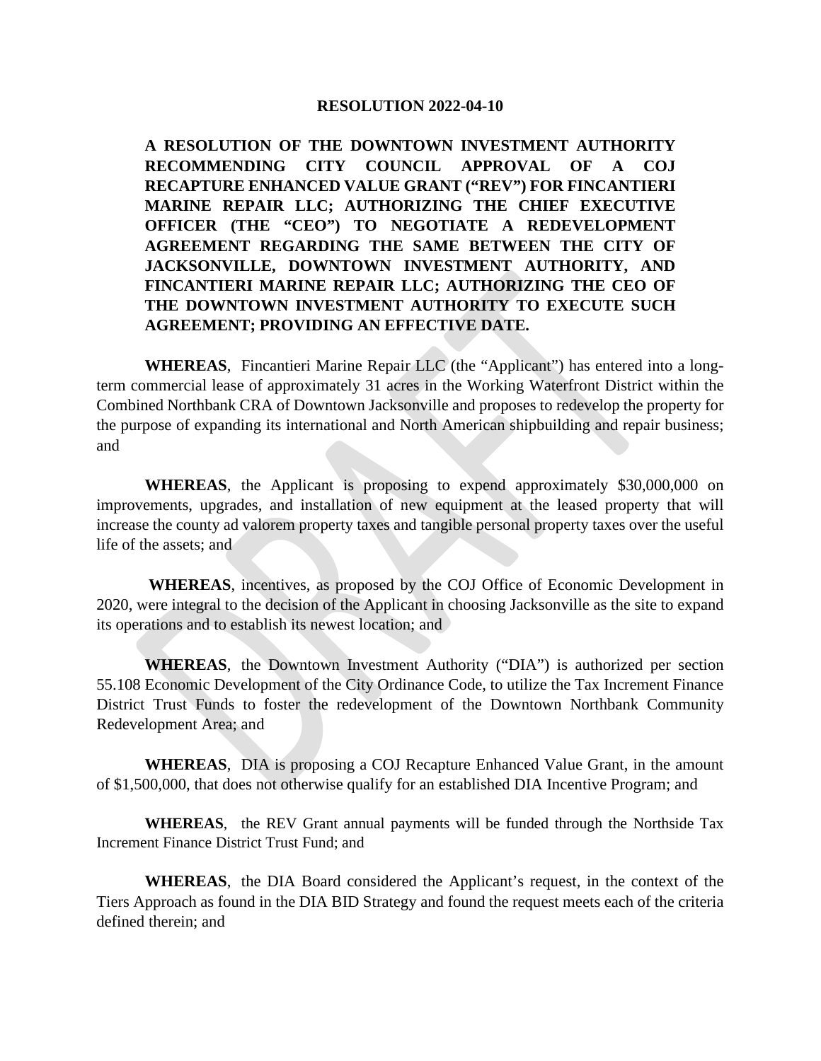#### **RESOLUTION 2022-04-10**

**A RESOLUTION OF THE DOWNTOWN INVESTMENT AUTHORITY RECOMMENDING CITY COUNCIL APPROVAL OF A COJ RECAPTURE ENHANCED VALUE GRANT ("REV") FOR FINCANTIERI MARINE REPAIR LLC; AUTHORIZING THE CHIEF EXECUTIVE OFFICER (THE "CEO") TO NEGOTIATE A REDEVELOPMENT AGREEMENT REGARDING THE SAME BETWEEN THE CITY OF JACKSONVILLE, DOWNTOWN INVESTMENT AUTHORITY, AND FINCANTIERI MARINE REPAIR LLC; AUTHORIZING THE CEO OF THE DOWNTOWN INVESTMENT AUTHORITY TO EXECUTE SUCH AGREEMENT; PROVIDING AN EFFECTIVE DATE.**

**WHEREAS**, Fincantieri Marine Repair LLC (the "Applicant") has entered into a longterm commercial lease of approximately 31 acres in the Working Waterfront District within the Combined Northbank CRA of Downtown Jacksonville and proposes to redevelop the property for the purpose of expanding its international and North American shipbuilding and repair business; and

**WHEREAS**, the Applicant is proposing to expend approximately \$30,000,000 on improvements, upgrades, and installation of new equipment at the leased property that will increase the county ad valorem property taxes and tangible personal property taxes over the useful life of the assets; and

**WHEREAS**, incentives, as proposed by the COJ Office of Economic Development in 2020, were integral to the decision of the Applicant in choosing Jacksonville as the site to expand its operations and to establish its newest location; and

**WHEREAS**, the Downtown Investment Authority ("DIA") is authorized per section 55.108 Economic Development of the City Ordinance Code, to utilize the Tax Increment Finance District Trust Funds to foster the redevelopment of the Downtown Northbank Community Redevelopment Area; and

**WHEREAS**, DIA is proposing a COJ Recapture Enhanced Value Grant, in the amount of \$1,500,000, that does not otherwise qualify for an established DIA Incentive Program; and

**WHEREAS**, the REV Grant annual payments will be funded through the Northside Tax Increment Finance District Trust Fund; and

**WHEREAS**, the DIA Board considered the Applicant's request, in the context of the Tiers Approach as found in the DIA BID Strategy and found the request meets each of the criteria defined therein; and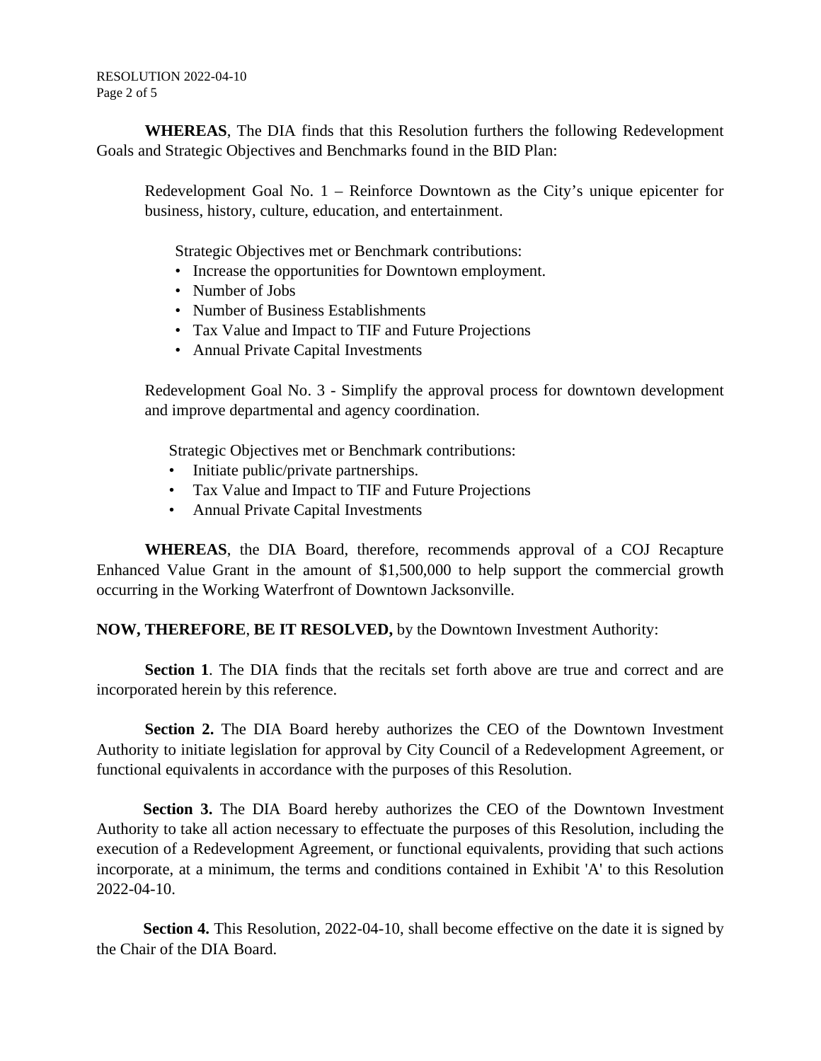RESOLUTION 2022-04-10 Page 2 of 5

**WHEREAS**, The DIA finds that this Resolution furthers the following Redevelopment Goals and Strategic Objectives and Benchmarks found in the BID Plan:

Redevelopment Goal No. 1 – Reinforce Downtown as the City's unique epicenter for business, history, culture, education, and entertainment.

Strategic Objectives met or Benchmark contributions:

- Increase the opportunities for Downtown employment.
- Number of Jobs
- Number of Business Establishments
- Tax Value and Impact to TIF and Future Projections
- Annual Private Capital Investments

Redevelopment Goal No. 3 - Simplify the approval process for downtown development and improve departmental and agency coordination.

Strategic Objectives met or Benchmark contributions:

- Initiate public/private partnerships.
- Tax Value and Impact to TIF and Future Projections
- Annual Private Capital Investments

**WHEREAS**, the DIA Board, therefore, recommends approval of a COJ Recapture Enhanced Value Grant in the amount of \$1,500,000 to help support the commercial growth occurring in the Working Waterfront of Downtown Jacksonville.

**NOW, THEREFORE**, **BE IT RESOLVED,** by the Downtown Investment Authority:

**Section 1**. The DIA finds that the recitals set forth above are true and correct and are incorporated herein by this reference.

**Section 2.** The DIA Board hereby authorizes the CEO of the Downtown Investment Authority to initiate legislation for approval by City Council of a Redevelopment Agreement, or functional equivalents in accordance with the purposes of this Resolution.

**Section 3.** The DIA Board hereby authorizes the CEO of the Downtown Investment Authority to take all action necessary to effectuate the purposes of this Resolution, including the execution of a Redevelopment Agreement, or functional equivalents, providing that such actions incorporate, at a minimum, the terms and conditions contained in Exhibit 'A' to this Resolution 2022-04-10.

**Section 4.** This Resolution, 2022-04-10, shall become effective on the date it is signed by the Chair of the DIA Board.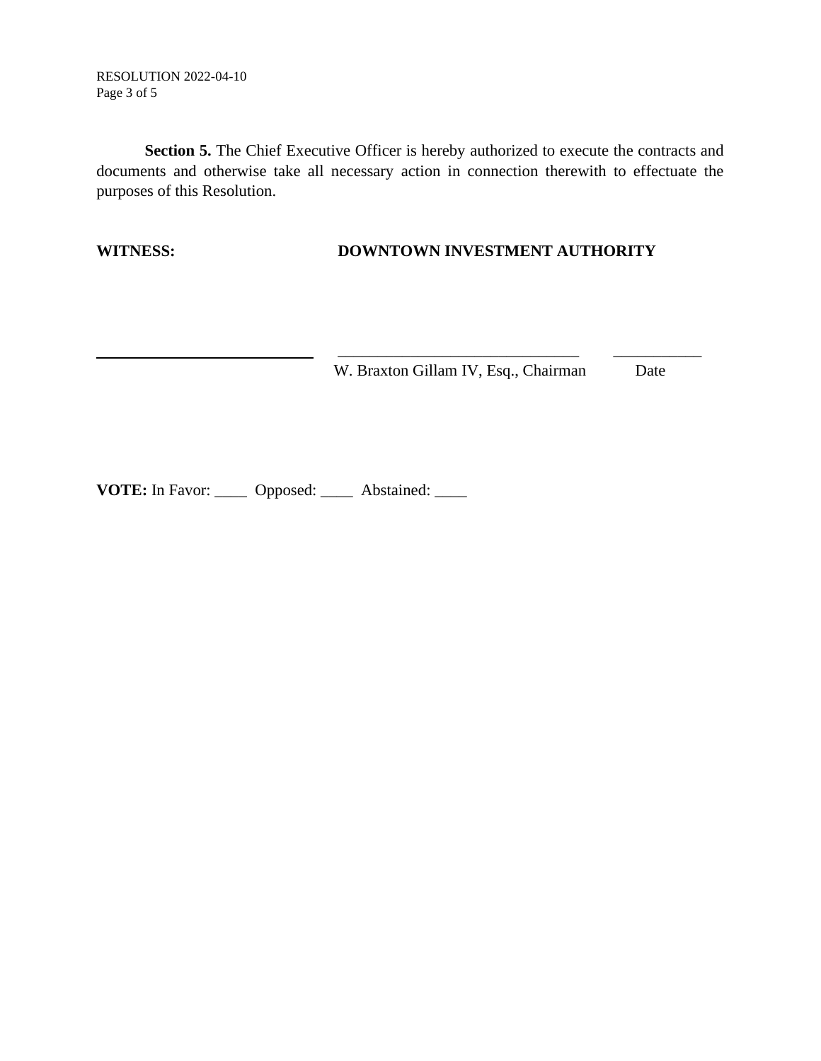RESOLUTION 2022-04-10 Page 3 of 5

**Section 5.** The Chief Executive Officer is hereby authorized to execute the contracts and documents and otherwise take all necessary action in connection therewith to effectuate the purposes of this Resolution.

#### **WITNESS: DOWNTOWN INVESTMENT AUTHORITY**

\_\_\_\_\_\_\_\_\_\_\_\_\_\_\_\_\_\_\_\_\_\_\_\_\_\_\_\_\_\_ \_\_\_\_\_\_\_\_\_\_\_

W. Braxton Gillam IV, Esq., Chairman Date

**VOTE:** In Favor: \_\_\_\_\_ Opposed: \_\_\_\_ Abstained: \_\_\_\_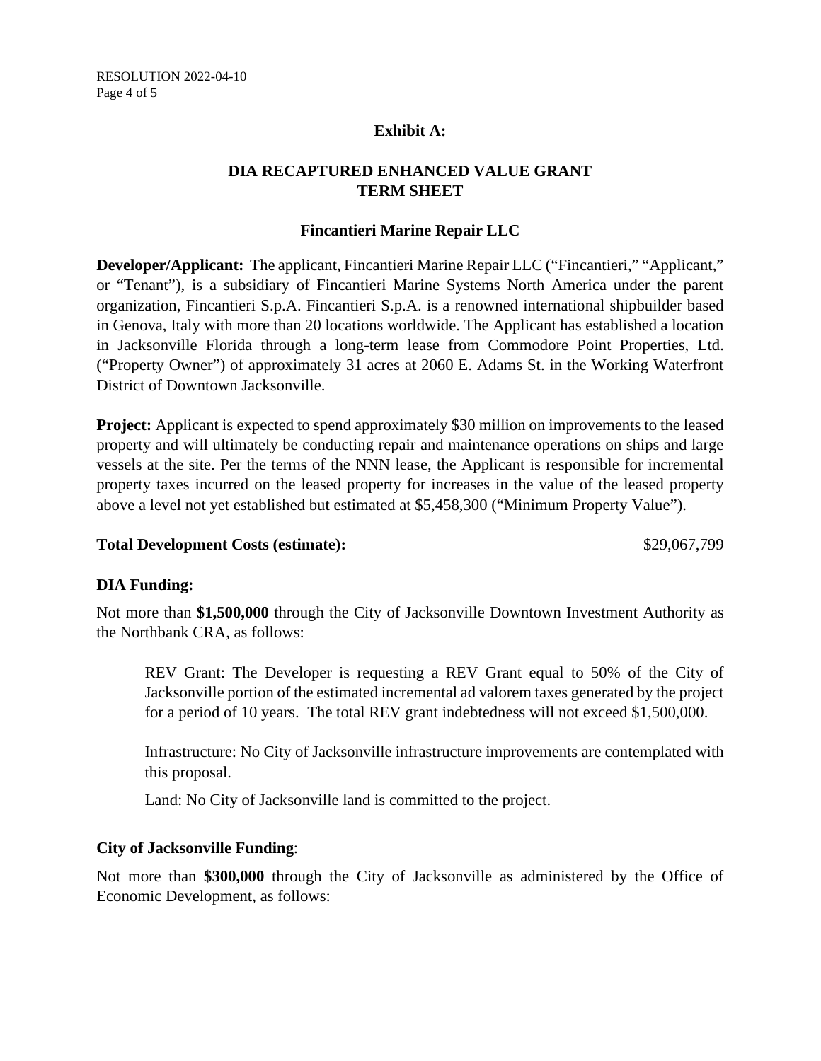#### **Exhibit A:**

# **DIA RECAPTURED ENHANCED VALUE GRANT TERM SHEET**

#### **Fincantieri Marine Repair LLC**

**Developer/Applicant:** The applicant, Fincantieri Marine Repair LLC ("Fincantieri," "Applicant," or "Tenant"), is a subsidiary of Fincantieri Marine Systems North America under the parent organization, Fincantieri S.p.A. Fincantieri S.p.A. is a renowned international shipbuilder based in Genova, Italy with more than 20 locations worldwide. The Applicant has established a location in Jacksonville Florida through a long-term lease from Commodore Point Properties, Ltd. ("Property Owner") of approximately 31 acres at 2060 E. Adams St. in the Working Waterfront District of Downtown Jacksonville.

**Project:** Applicant is expected to spend approximately \$30 million on improvements to the leased property and will ultimately be conducting repair and maintenance operations on ships and large vessels at the site. Per the terms of the NNN lease, the Applicant is responsible for incremental property taxes incurred on the leased property for increases in the value of the leased property above a level not yet established but estimated at \$5,458,300 ("Minimum Property Value").

#### Total Development Costs (estimate):  $$29,067,799$

#### **DIA Funding:**

Not more than **\$1,500,000** through the City of Jacksonville Downtown Investment Authority as the Northbank CRA, as follows:

REV Grant: The Developer is requesting a REV Grant equal to 50% of the City of Jacksonville portion of the estimated incremental ad valorem taxes generated by the project for a period of 10 years. The total REV grant indebtedness will not exceed \$1,500,000.

Infrastructure: No City of Jacksonville infrastructure improvements are contemplated with this proposal.

Land: No City of Jacksonville land is committed to the project.

# **City of Jacksonville Funding**:

Not more than **\$300,000** through the City of Jacksonville as administered by the Office of Economic Development, as follows: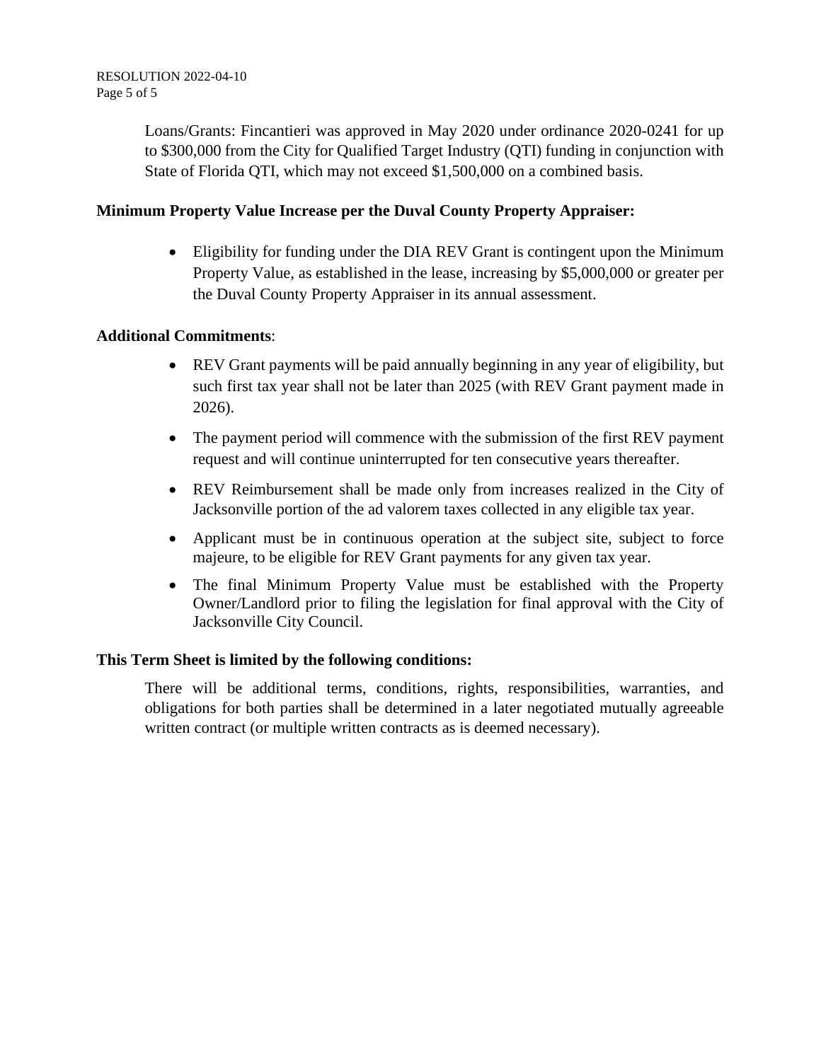Loans/Grants: Fincantieri was approved in May 2020 under ordinance 2020-0241 for up to \$300,000 from the City for Qualified Target Industry (QTI) funding in conjunction with State of Florida QTI, which may not exceed \$1,500,000 on a combined basis.

#### **Minimum Property Value Increase per the Duval County Property Appraiser:**

• Eligibility for funding under the DIA REV Grant is contingent upon the Minimum Property Value, as established in the lease, increasing by \$5,000,000 or greater per the Duval County Property Appraiser in its annual assessment.

#### **Additional Commitments**:

- REV Grant payments will be paid annually beginning in any year of eligibility, but such first tax year shall not be later than 2025 (with REV Grant payment made in 2026).
- The payment period will commence with the submission of the first REV payment request and will continue uninterrupted for ten consecutive years thereafter.
- REV Reimbursement shall be made only from increases realized in the City of Jacksonville portion of the ad valorem taxes collected in any eligible tax year.
- Applicant must be in continuous operation at the subject site, subject to force majeure, to be eligible for REV Grant payments for any given tax year.
- The final Minimum Property Value must be established with the Property Owner/Landlord prior to filing the legislation for final approval with the City of Jacksonville City Council.

#### **This Term Sheet is limited by the following conditions:**

There will be additional terms, conditions, rights, responsibilities, warranties, and obligations for both parties shall be determined in a later negotiated mutually agreeable written contract (or multiple written contracts as is deemed necessary).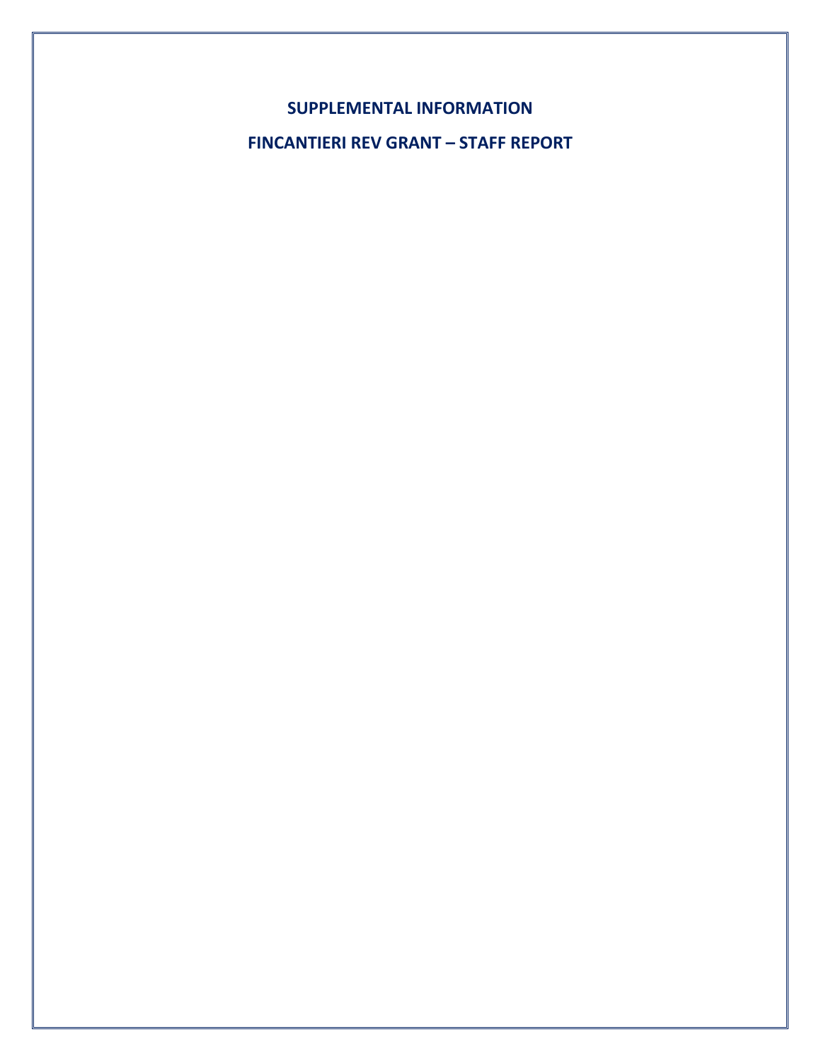**SUPPLEMENTAL INFORMATION**

**FINCANTIERI REV GRANT – STAFF REPORT**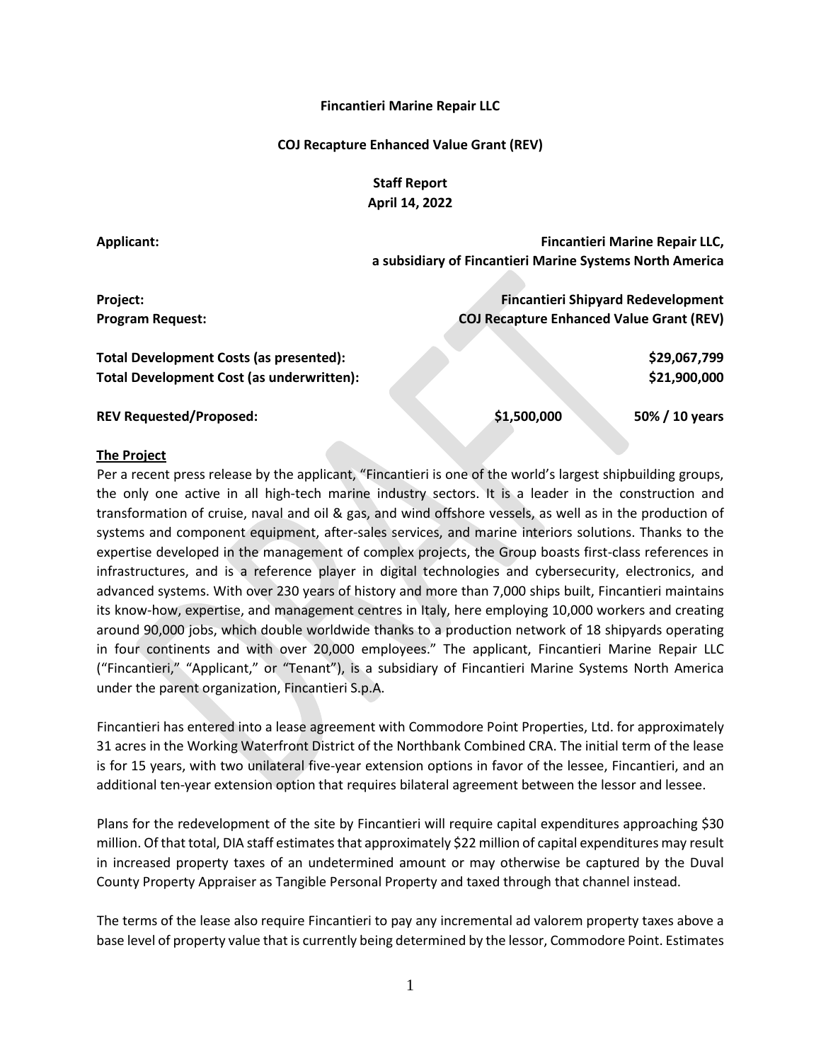#### **Fincantieri Marine Repair LLC**

#### **COJ Recapture Enhanced Value Grant (REV)**

**Staff Report April 14, 2022**

| Applicant:                                | Fincantieri Marine Repair LLC,                           |
|-------------------------------------------|----------------------------------------------------------|
|                                           | a subsidiary of Fincantieri Marine Systems North America |
|                                           |                                                          |
| Project:                                  | <b>Fincantieri Shipyard Redevelopment</b>                |
| <b>Program Request:</b>                   | <b>COJ Recapture Enhanced Value Grant (REV)</b>          |
|                                           |                                                          |
| Total Development Costs (as presented):   | \$29,067,799                                             |
| Total Development Cost (as underwritten): | \$21,900,000                                             |
|                                           |                                                          |
| <b>REV Requested/Proposed:</b>            | \$1,500,000<br>50% / 10 years                            |
|                                           |                                                          |

#### **The Project**

Per a recent press release by the applicant, "Fincantieri is one of the world's largest shipbuilding groups, the only one active in all high-tech marine industry sectors. It is a leader in the construction and transformation of cruise, naval and oil & gas, and wind offshore vessels, as well as in the production of systems and component equipment, after-sales services, and marine interiors solutions. Thanks to the expertise developed in the management of complex projects, the Group boasts first-class references in infrastructures, and is a reference player in digital technologies and cybersecurity, electronics, and advanced systems. With over 230 years of history and more than 7,000 ships built, Fincantieri maintains its know-how, expertise, and management centres in Italy, here employing 10,000 workers and creating around 90,000 jobs, which double worldwide thanks to a production network of 18 shipyards operating in four continents and with over 20,000 employees." The applicant, Fincantieri Marine Repair LLC ("Fincantieri," "Applicant," or "Tenant"), is a subsidiary of Fincantieri Marine Systems North America under the parent organization, Fincantieri S.p.A.

Fincantieri has entered into a lease agreement with Commodore Point Properties, Ltd. for approximately 31 acres in the Working Waterfront District of the Northbank Combined CRA. The initial term of the lease is for 15 years, with two unilateral five-year extension options in favor of the lessee, Fincantieri, and an additional ten-year extension option that requires bilateral agreement between the lessor and lessee.

Plans for the redevelopment of the site by Fincantieri will require capital expenditures approaching \$30 million. Of that total, DIA staff estimates that approximately \$22 million of capital expenditures may result in increased property taxes of an undetermined amount or may otherwise be captured by the Duval County Property Appraiser as Tangible Personal Property and taxed through that channel instead.

The terms of the lease also require Fincantieri to pay any incremental ad valorem property taxes above a base level of property value that is currently being determined by the lessor, Commodore Point. Estimates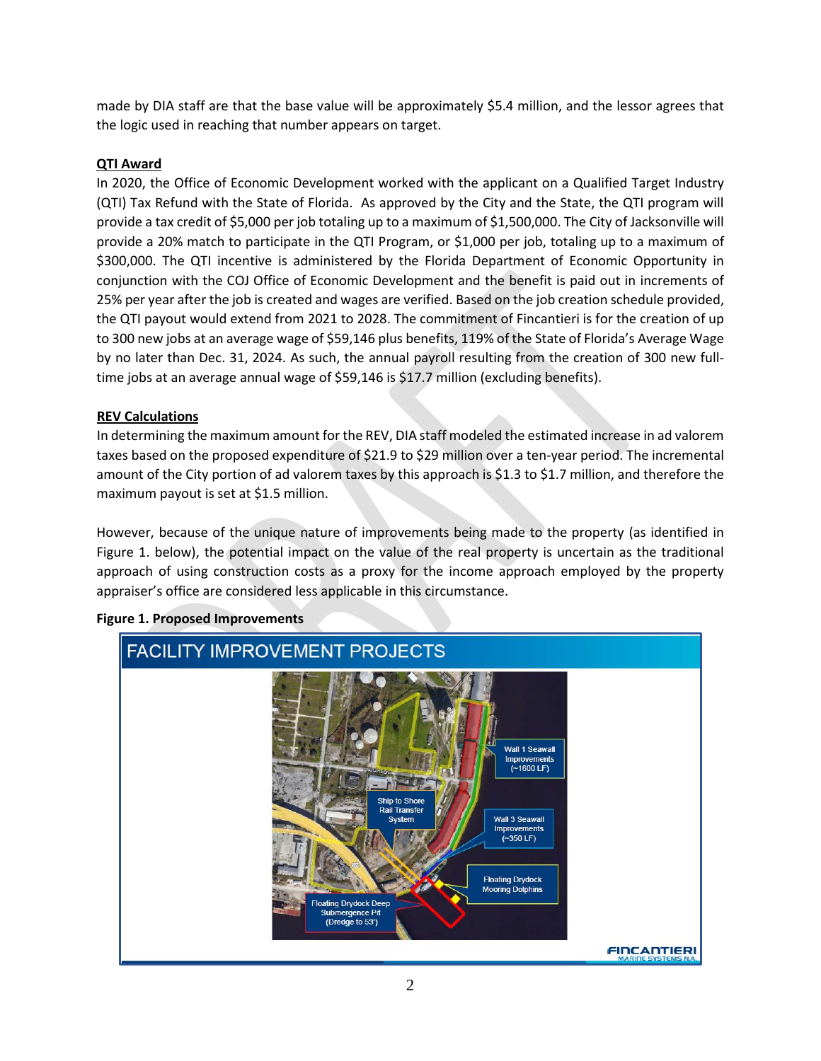made by DIA staff are that the base value will be approximately \$5.4 million, and the lessor agrees that the logic used in reaching that number appears on target.

#### **QTI Award**

In 2020, the Office of Economic Development worked with the applicant on a Qualified Target Industry (QTI) Tax Refund with the State of Florida. As approved by the City and the State, the QTI program will provide a tax credit of \$5,000 per job totaling up to a maximum of \$1,500,000. The City of Jacksonville will provide a 20% match to participate in the QTI Program, or \$1,000 per job, totaling up to a maximum of \$300,000. The QTI incentive is administered by the Florida Department of Economic Opportunity in conjunction with the COJ Office of Economic Development and the benefit is paid out in increments of 25% per year after the job is created and wages are verified. Based on the job creation schedule provided, the QTI payout would extend from 2021 to 2028. The commitment of Fincantieri is for the creation of up to 300 new jobs at an average wage of \$59,146 plus benefits, 119% of the State of Florida's Average Wage by no later than Dec. 31, 2024. As such, the annual payroll resulting from the creation of 300 new fulltime jobs at an average annual wage of \$59,146 is \$17.7 million (excluding benefits).

#### **REV Calculations**

In determining the maximum amount for the REV, DIA staff modeled the estimated increase in ad valorem taxes based on the proposed expenditure of \$21.9 to \$29 million over a ten-year period. The incremental amount of the City portion of ad valorem taxes by this approach is \$1.3 to \$1.7 million, and therefore the maximum payout is set at \$1.5 million.

However, because of the unique nature of improvements being made to the property (as identified in Figure 1. below), the potential impact on the value of the real property is uncertain as the traditional approach of using construction costs as a proxy for the income approach employed by the property appraiser's office are considered less applicable in this circumstance.



#### **Figure 1. Proposed Improvements**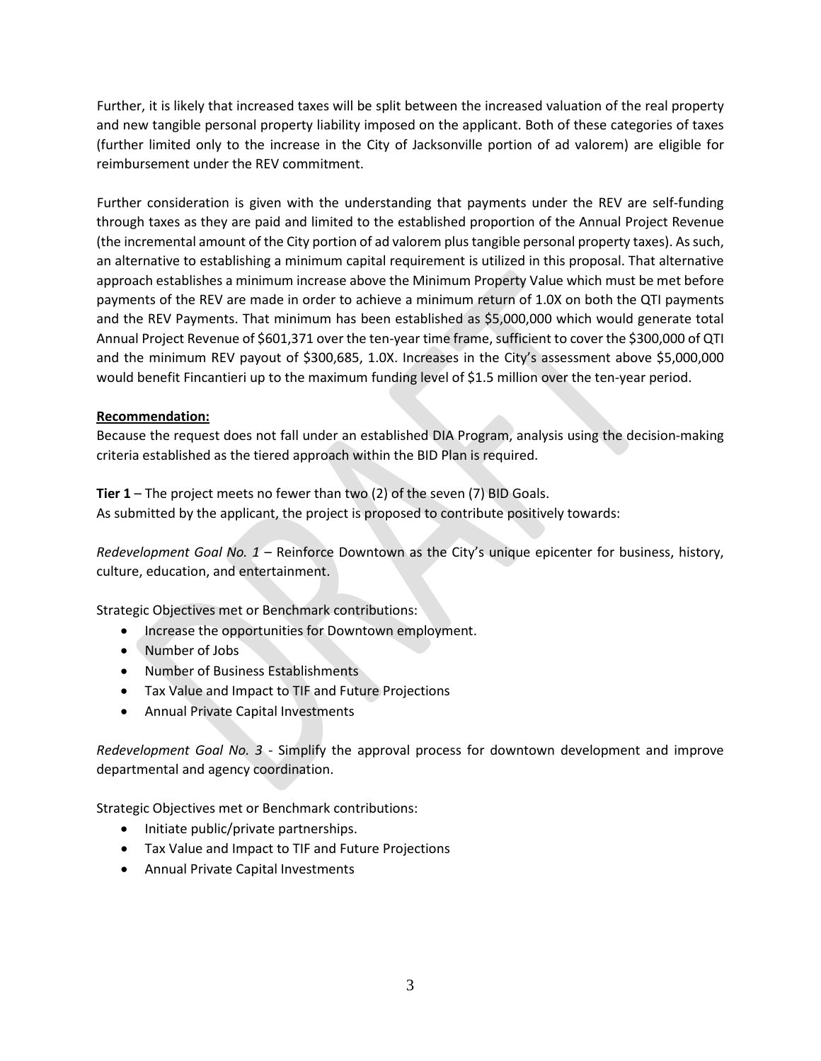Further, it is likely that increased taxes will be split between the increased valuation of the real property and new tangible personal property liability imposed on the applicant. Both of these categories of taxes (further limited only to the increase in the City of Jacksonville portion of ad valorem) are eligible for reimbursement under the REV commitment.

Further consideration is given with the understanding that payments under the REV are self-funding through taxes as they are paid and limited to the established proportion of the Annual Project Revenue (the incremental amount of the City portion of ad valorem plus tangible personal property taxes). As such, an alternative to establishing a minimum capital requirement is utilized in this proposal. That alternative approach establishes a minimum increase above the Minimum Property Value which must be met before payments of the REV are made in order to achieve a minimum return of 1.0X on both the QTI payments and the REV Payments. That minimum has been established as \$5,000,000 which would generate total Annual Project Revenue of \$601,371 over the ten-year time frame, sufficient to cover the \$300,000 of QTI and the minimum REV payout of \$300,685, 1.0X. Increases in the City's assessment above \$5,000,000 would benefit Fincantieri up to the maximum funding level of \$1.5 million over the ten-year period.

#### **Recommendation:**

Because the request does not fall under an established DIA Program, analysis using the decision-making criteria established as the tiered approach within the BID Plan is required.

**Tier 1** – The project meets no fewer than two (2) of the seven (7) BID Goals. As submitted by the applicant, the project is proposed to contribute positively towards:

*Redevelopment Goal No. 1* – Reinforce Downtown as the City's unique epicenter for business, history, culture, education, and entertainment.

Strategic Objectives met or Benchmark contributions:

- Increase the opportunities for Downtown employment.
- Number of Jobs
- Number of Business Establishments
- Tax Value and Impact to TIF and Future Projections
- Annual Private Capital Investments

*Redevelopment Goal No. 3 -* Simplify the approval process for downtown development and improve departmental and agency coordination.

Strategic Objectives met or Benchmark contributions:

- Initiate public/private partnerships.
- Tax Value and Impact to TIF and Future Projections
- Annual Private Capital Investments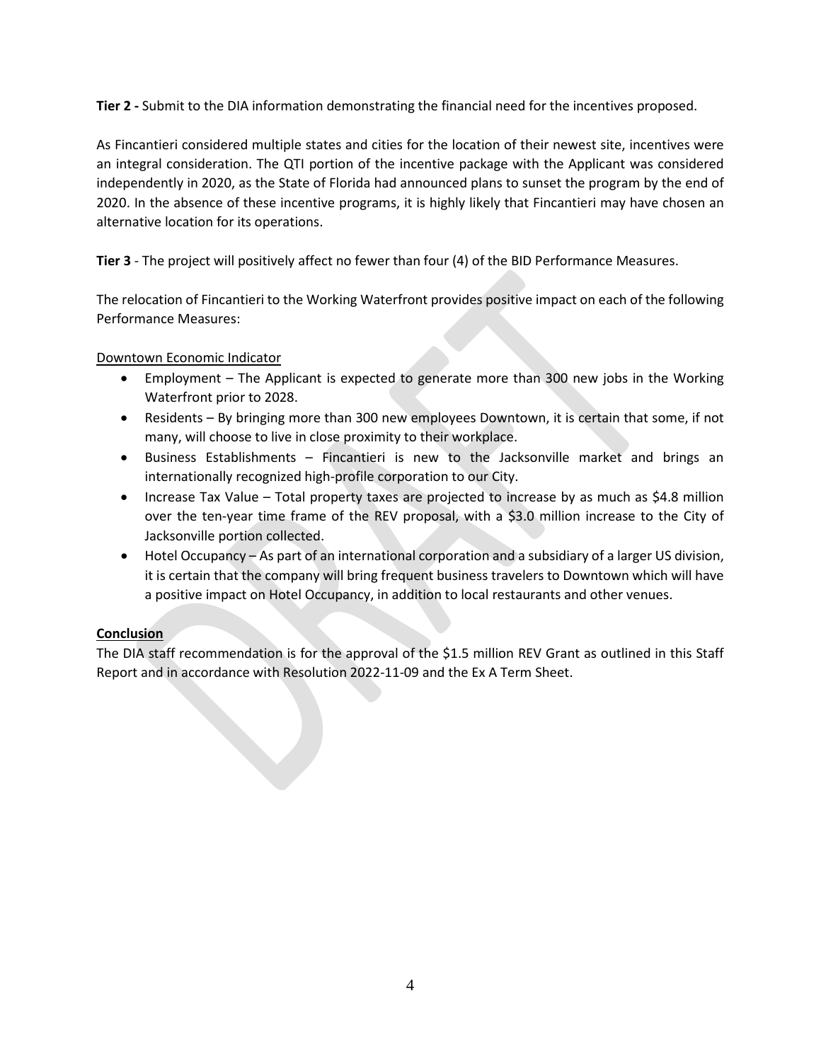**Tier 2 -** Submit to the DIA information demonstrating the financial need for the incentives proposed.

As Fincantieri considered multiple states and cities for the location of their newest site, incentives were an integral consideration. The QTI portion of the incentive package with the Applicant was considered independently in 2020, as the State of Florida had announced plans to sunset the program by the end of 2020. In the absence of these incentive programs, it is highly likely that Fincantieri may have chosen an alternative location for its operations.

**Tier 3** - The project will positively affect no fewer than four (4) of the BID Performance Measures.

The relocation of Fincantieri to the Working Waterfront provides positive impact on each of the following Performance Measures:

Downtown Economic Indicator

- Employment The Applicant is expected to generate more than 300 new jobs in the Working Waterfront prior to 2028.
- Residents By bringing more than 300 new employees Downtown, it is certain that some, if not many, will choose to live in close proximity to their workplace.
- Business Establishments Fincantieri is new to the Jacksonville market and brings an internationally recognized high-profile corporation to our City.
- Increase Tax Value Total property taxes are projected to increase by as much as \$4.8 million over the ten-year time frame of the REV proposal, with a \$3.0 million increase to the City of Jacksonville portion collected.
- Hotel Occupancy As part of an international corporation and a subsidiary of a larger US division, it is certain that the company will bring frequent business travelers to Downtown which will have a positive impact on Hotel Occupancy, in addition to local restaurants and other venues.

#### **Conclusion**

The DIA staff recommendation is for the approval of the \$1.5 million REV Grant as outlined in this Staff Report and in accordance with Resolution 2022-11-09 and the Ex A Term Sheet.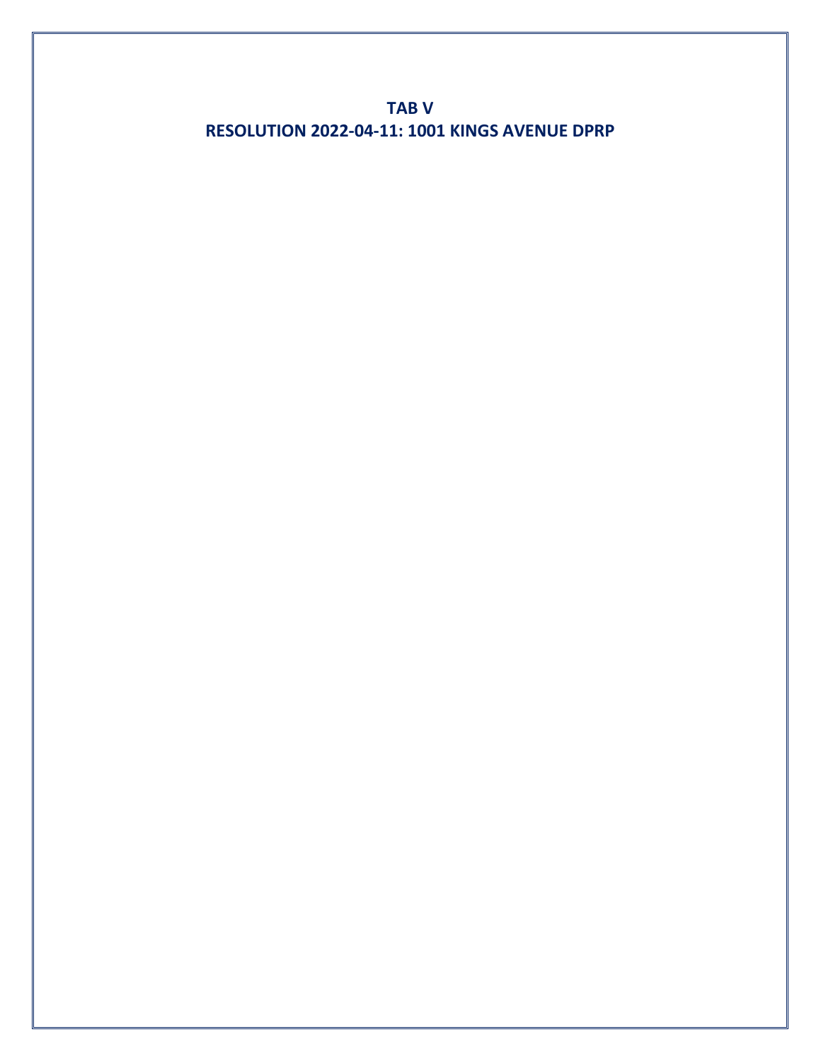**TAB V RESOLUTION 2022-04-11: 1001 KINGS AVENUE DPRP**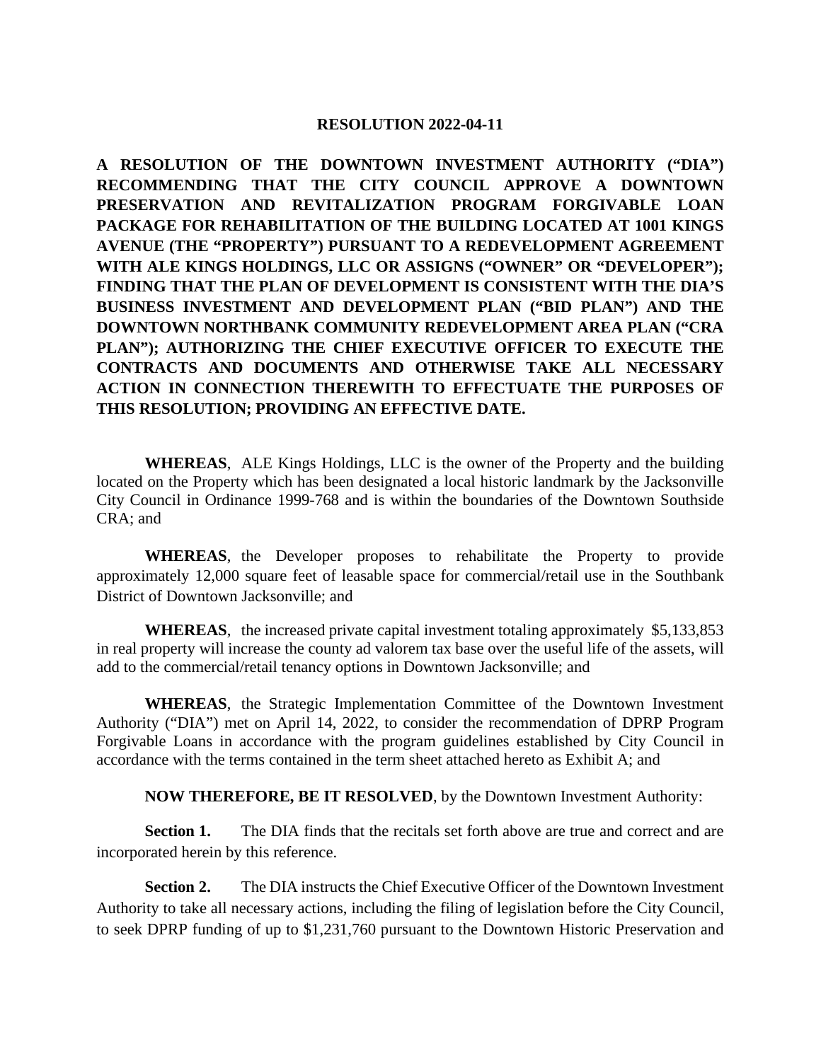#### **RESOLUTION 2022-04-11**

**A RESOLUTION OF THE DOWNTOWN INVESTMENT AUTHORITY ("DIA") RECOMMENDING THAT THE CITY COUNCIL APPROVE A DOWNTOWN PRESERVATION AND REVITALIZATION PROGRAM FORGIVABLE LOAN PACKAGE FOR REHABILITATION OF THE BUILDING LOCATED AT 1001 KINGS AVENUE (THE "PROPERTY") PURSUANT TO A REDEVELOPMENT AGREEMENT WITH ALE KINGS HOLDINGS, LLC OR ASSIGNS ("OWNER" OR "DEVELOPER"); FINDING THAT THE PLAN OF DEVELOPMENT IS CONSISTENT WITH THE DIA'S BUSINESS INVESTMENT AND DEVELOPMENT PLAN ("BID PLAN") AND THE DOWNTOWN NORTHBANK COMMUNITY REDEVELOPMENT AREA PLAN ("CRA PLAN"); AUTHORIZING THE CHIEF EXECUTIVE OFFICER TO EXECUTE THE CONTRACTS AND DOCUMENTS AND OTHERWISE TAKE ALL NECESSARY ACTION IN CONNECTION THEREWITH TO EFFECTUATE THE PURPOSES OF THIS RESOLUTION; PROVIDING AN EFFECTIVE DATE.** 

**WHEREAS**, ALE Kings Holdings, LLC is the owner of the Property and the building located on the Property which has been designated a local historic landmark by the Jacksonville City Council in Ordinance 1999-768 and is within the boundaries of the Downtown Southside CRA; and

**WHEREAS**, the Developer proposes to rehabilitate the Property to provide approximately 12,000 square feet of leasable space for commercial/retail use in the Southbank District of Downtown Jacksonville; and

**WHEREAS**, the increased private capital investment totaling approximately \$5,133,853 in real property will increase the county ad valorem tax base over the useful life of the assets, will add to the commercial/retail tenancy options in Downtown Jacksonville; and

**WHEREAS**, the Strategic Implementation Committee of the Downtown Investment Authority ("DIA") met on April 14, 2022, to consider the recommendation of DPRP Program Forgivable Loans in accordance with the program guidelines established by City Council in accordance with the terms contained in the term sheet attached hereto as Exhibit A; and

**NOW THEREFORE, BE IT RESOLVED**, by the Downtown Investment Authority:

**Section 1.** The DIA finds that the recitals set forth above are true and correct and are incorporated herein by this reference.

**Section 2.** The DIA instructs the Chief Executive Officer of the Downtown Investment Authority to take all necessary actions, including the filing of legislation before the City Council, to seek DPRP funding of up to \$1,231,760 pursuant to the Downtown Historic Preservation and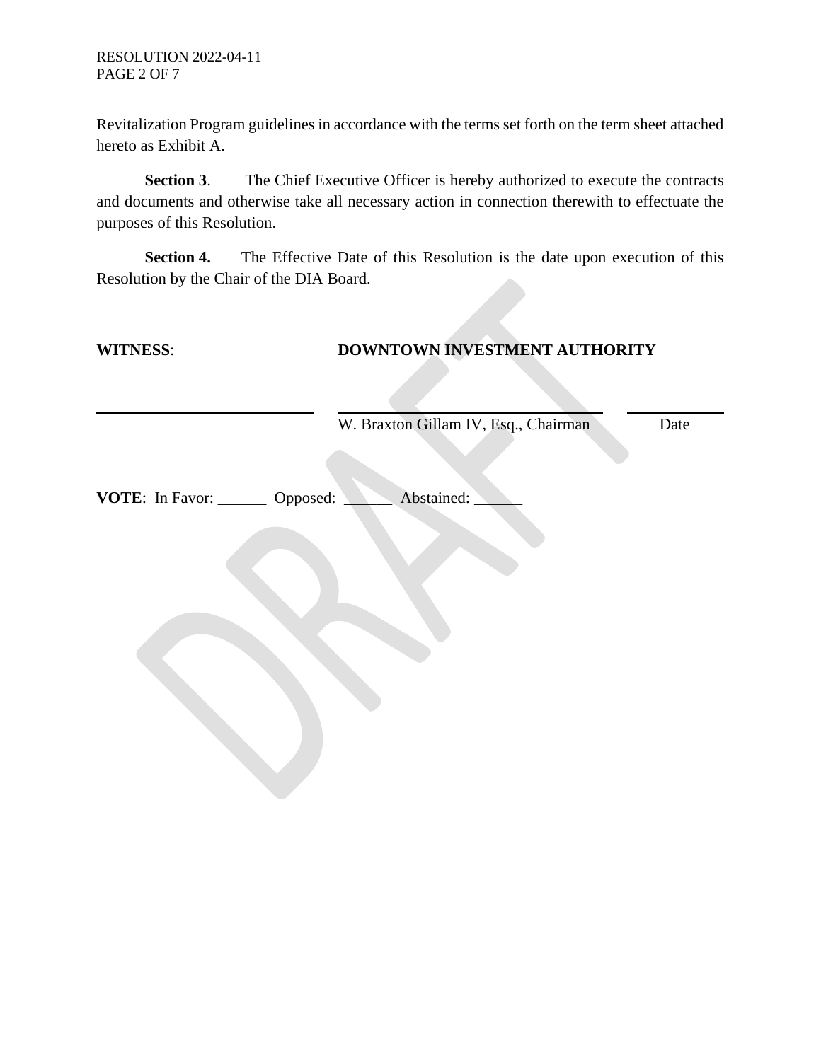Revitalization Program guidelines in accordance with the terms set forth on the term sheet attached hereto as Exhibit A.

**Section 3**. The Chief Executive Officer is hereby authorized to execute the contracts and documents and otherwise take all necessary action in connection therewith to effectuate the purposes of this Resolution.

**Section 4.** The Effective Date of this Resolution is the date upon execution of this Resolution by the Chair of the DIA Board.

| <b>WITNESS:</b>                   |                                      | DOWNTOWN INVESTMENT AUTHORITY |  |  |
|-----------------------------------|--------------------------------------|-------------------------------|--|--|
|                                   |                                      |                               |  |  |
|                                   | W. Braxton Gillam IV, Esq., Chairman | Date                          |  |  |
| VOTE: In Favor: ________ Opposed: | Abstained:                           |                               |  |  |
|                                   |                                      |                               |  |  |
|                                   |                                      |                               |  |  |
|                                   |                                      |                               |  |  |
|                                   |                                      |                               |  |  |
|                                   |                                      |                               |  |  |
|                                   |                                      |                               |  |  |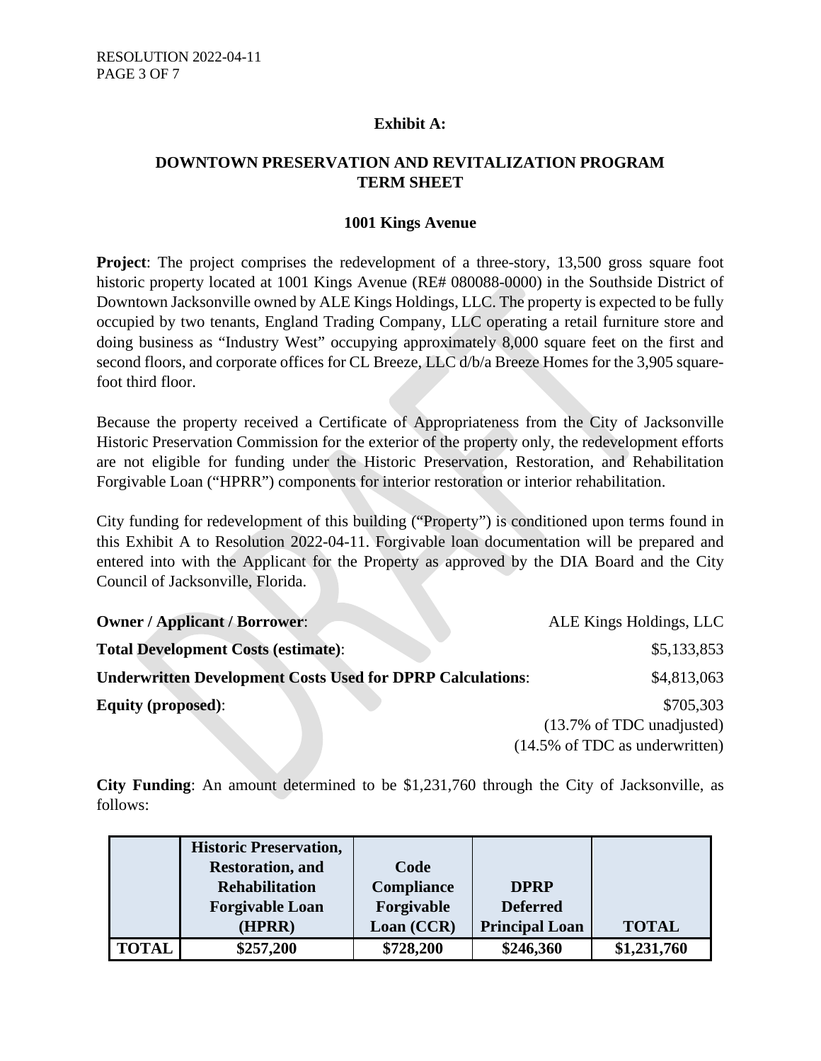# **Exhibit A:**

# **DOWNTOWN PRESERVATION AND REVITALIZATION PROGRAM TERM SHEET**

#### **1001 Kings Avenue**

**Project**: The project comprises the redevelopment of a three-story, 13,500 gross square foot historic property located at 1001 Kings Avenue (RE# 080088-0000) in the Southside District of Downtown Jacksonville owned by ALE Kings Holdings, LLC. The property is expected to be fully occupied by two tenants, England Trading Company, LLC operating a retail furniture store and doing business as "Industry West" occupying approximately 8,000 square feet on the first and second floors, and corporate offices for CL Breeze, LLC  $d/b/a$  Breeze Homes for the 3,905 squarefoot third floor.

Because the property received a Certificate of Appropriateness from the City of Jacksonville Historic Preservation Commission for the exterior of the property only, the redevelopment efforts are not eligible for funding under the Historic Preservation, Restoration, and Rehabilitation Forgivable Loan ("HPRR") components for interior restoration or interior rehabilitation.

City funding for redevelopment of this building ("Property") is conditioned upon terms found in this Exhibit A to Resolution 2022-04-11. Forgivable loan documentation will be prepared and entered into with the Applicant for the Property as approved by the DIA Board and the City Council of Jacksonville, Florida.

| <b>Owner / Applicant / Borrower:</b>                              | ALE Kings Holdings, LLC                   |
|-------------------------------------------------------------------|-------------------------------------------|
| <b>Total Development Costs (estimate):</b>                        | \$5,133,853                               |
| <b>Underwritten Development Costs Used for DPRP Calculations:</b> | \$4,813,063                               |
| <b>Equity (proposed):</b>                                         | \$705,303                                 |
|                                                                   | $(13.7\% \text{ of TDC unadjusted})$      |
|                                                                   | $(14.5\% \text{ of TDC as underwritten})$ |

**City Funding**: An amount determined to be \$1,231,760 through the City of Jacksonville, as follows:

|              | <b>Historic Preservation,</b> |                   |                       |              |
|--------------|-------------------------------|-------------------|-----------------------|--------------|
|              | <b>Restoration</b> , and      | Code              |                       |              |
|              | <b>Rehabilitation</b>         | <b>Compliance</b> | <b>DPRP</b>           |              |
|              | <b>Forgivable Loan</b>        | Forgivable        | <b>Deferred</b>       |              |
|              | (HPRR)                        | Loan (CCR)        | <b>Principal Loan</b> | <b>TOTAL</b> |
| <b>TOTAL</b> | \$257,200                     | \$728,200         | \$246,360             | \$1,231,760  |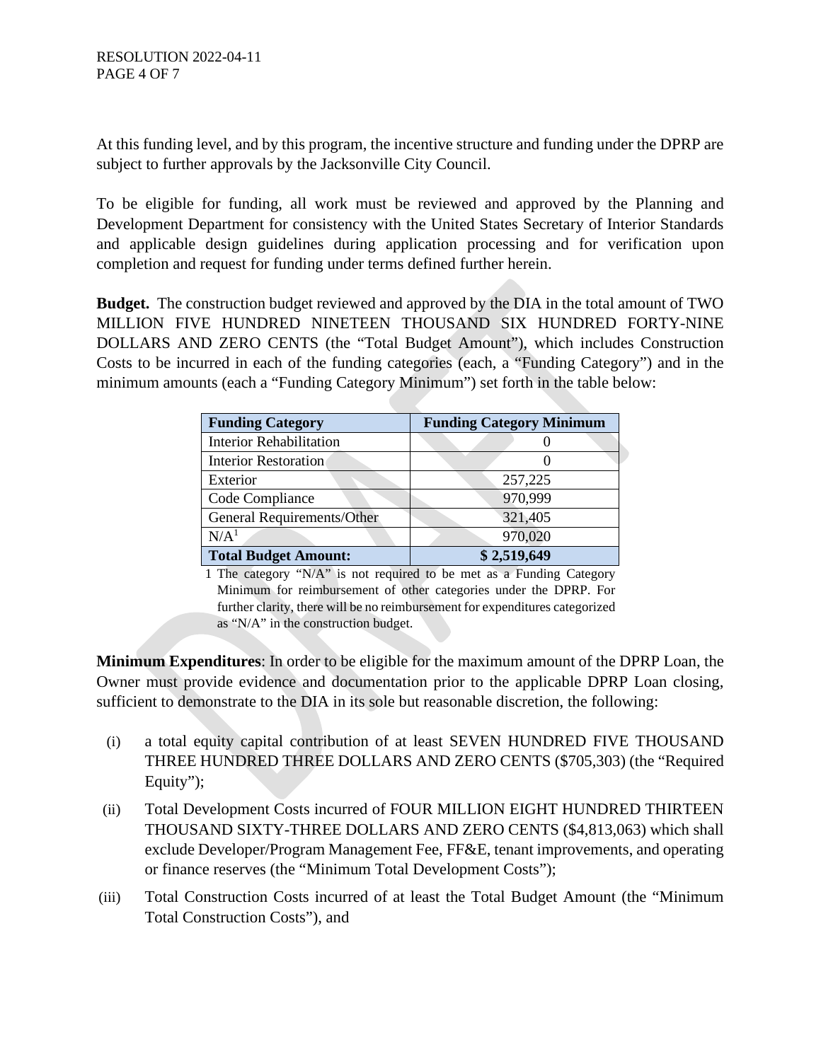At this funding level, and by this program, the incentive structure and funding under the DPRP are subject to further approvals by the Jacksonville City Council.

To be eligible for funding, all work must be reviewed and approved by the Planning and Development Department for consistency with the United States Secretary of Interior Standards and applicable design guidelines during application processing and for verification upon completion and request for funding under terms defined further herein.

**Budget.** The construction budget reviewed and approved by the DIA in the total amount of TWO MILLION FIVE HUNDRED NINETEEN THOUSAND SIX HUNDRED FORTY-NINE DOLLARS AND ZERO CENTS (the "Total Budget Amount"), which includes Construction Costs to be incurred in each of the funding categories (each, a "Funding Category") and in the minimum amounts (each a "Funding Category Minimum") set forth in the table below:

| <b>Funding Category</b>        | <b>Funding Category Minimum</b> |
|--------------------------------|---------------------------------|
| <b>Interior Rehabilitation</b> |                                 |
| Interior Restoration           |                                 |
| Exterior                       | 257,225                         |
| Code Compliance                | 970,999                         |
| General Requirements/Other     | 321,405                         |
| N/A <sup>1</sup>               | 970,020                         |
| <b>Total Budget Amount:</b>    | \$2,519,649                     |

1 The category "N/A" is not required to be met as a Funding Category Minimum for reimbursement of other categories under the DPRP. For further clarity, there will be no reimbursement for expenditures categorized as "N/A" in the construction budget.

**Minimum Expenditures**: In order to be eligible for the maximum amount of the DPRP Loan, the Owner must provide evidence and documentation prior to the applicable DPRP Loan closing, sufficient to demonstrate to the DIA in its sole but reasonable discretion, the following:

- (i) a total equity capital contribution of at least SEVEN HUNDRED FIVE THOUSAND THREE HUNDRED THREE DOLLARS AND ZERO CENTS (\$705,303) (the "Required Equity");
- (ii) Total Development Costs incurred of FOUR MILLION EIGHT HUNDRED THIRTEEN THOUSAND SIXTY-THREE DOLLARS AND ZERO CENTS (\$4,813,063) which shall exclude Developer/Program Management Fee, FF&E, tenant improvements, and operating or finance reserves (the "Minimum Total Development Costs");
- (iii) Total Construction Costs incurred of at least the Total Budget Amount (the "Minimum Total Construction Costs"), and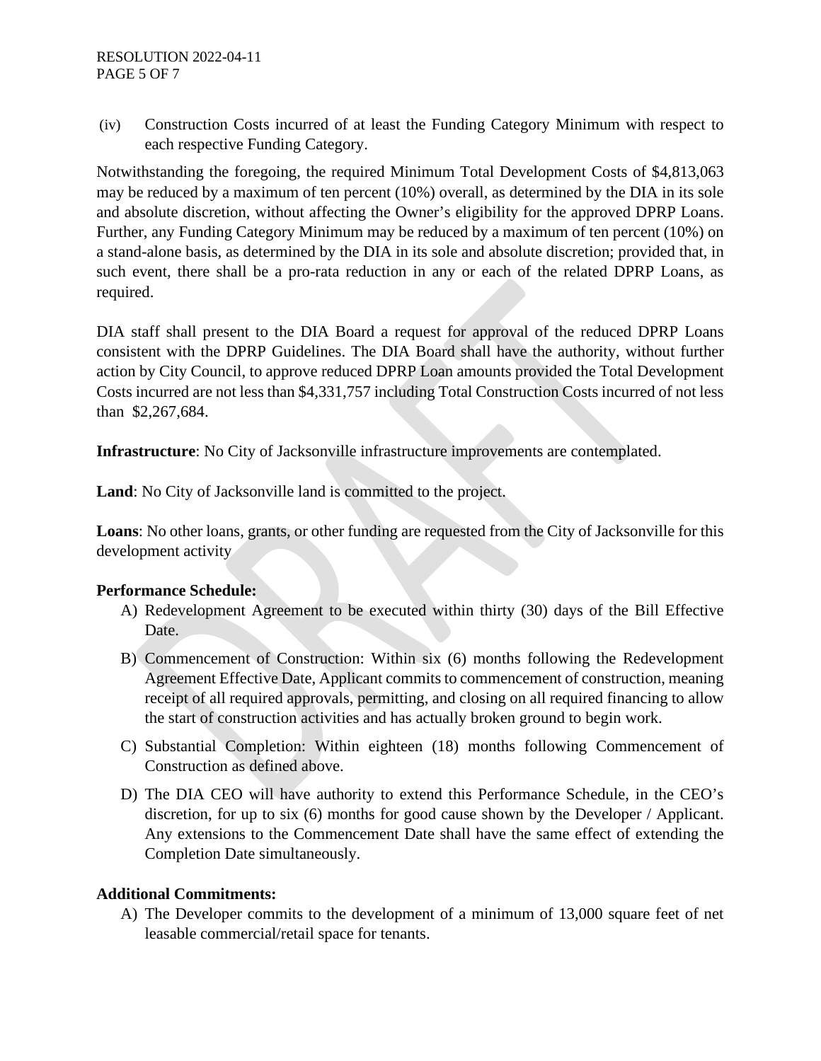(iv) Construction Costs incurred of at least the Funding Category Minimum with respect to each respective Funding Category.

Notwithstanding the foregoing, the required Minimum Total Development Costs of \$4,813,063 may be reduced by a maximum of ten percent (10%) overall, as determined by the DIA in its sole and absolute discretion, without affecting the Owner's eligibility for the approved DPRP Loans. Further, any Funding Category Minimum may be reduced by a maximum of ten percent (10%) on a stand-alone basis, as determined by the DIA in its sole and absolute discretion; provided that, in such event, there shall be a pro-rata reduction in any or each of the related DPRP Loans, as required.

DIA staff shall present to the DIA Board a request for approval of the reduced DPRP Loans consistent with the DPRP Guidelines. The DIA Board shall have the authority, without further action by City Council, to approve reduced DPRP Loan amounts provided the Total Development Costs incurred are not less than \$4,331,757 including Total Construction Costs incurred of not less than \$2,267,684.

**Infrastructure**: No City of Jacksonville infrastructure improvements are contemplated.

**Land**: No City of Jacksonville land is committed to the project.

**Loans**: No other loans, grants, or other funding are requested from the City of Jacksonville for this development activity

#### **Performance Schedule:**

- A) Redevelopment Agreement to be executed within thirty (30) days of the Bill Effective Date.
- B) Commencement of Construction: Within six (6) months following the Redevelopment Agreement Effective Date, Applicant commits to commencement of construction, meaning receipt of all required approvals, permitting, and closing on all required financing to allow the start of construction activities and has actually broken ground to begin work.
- C) Substantial Completion: Within eighteen (18) months following Commencement of Construction as defined above.
- D) The DIA CEO will have authority to extend this Performance Schedule, in the CEO's discretion, for up to six (6) months for good cause shown by the Developer / Applicant. Any extensions to the Commencement Date shall have the same effect of extending the Completion Date simultaneously.

# **Additional Commitments:**

A) The Developer commits to the development of a minimum of 13,000 square feet of net leasable commercial/retail space for tenants.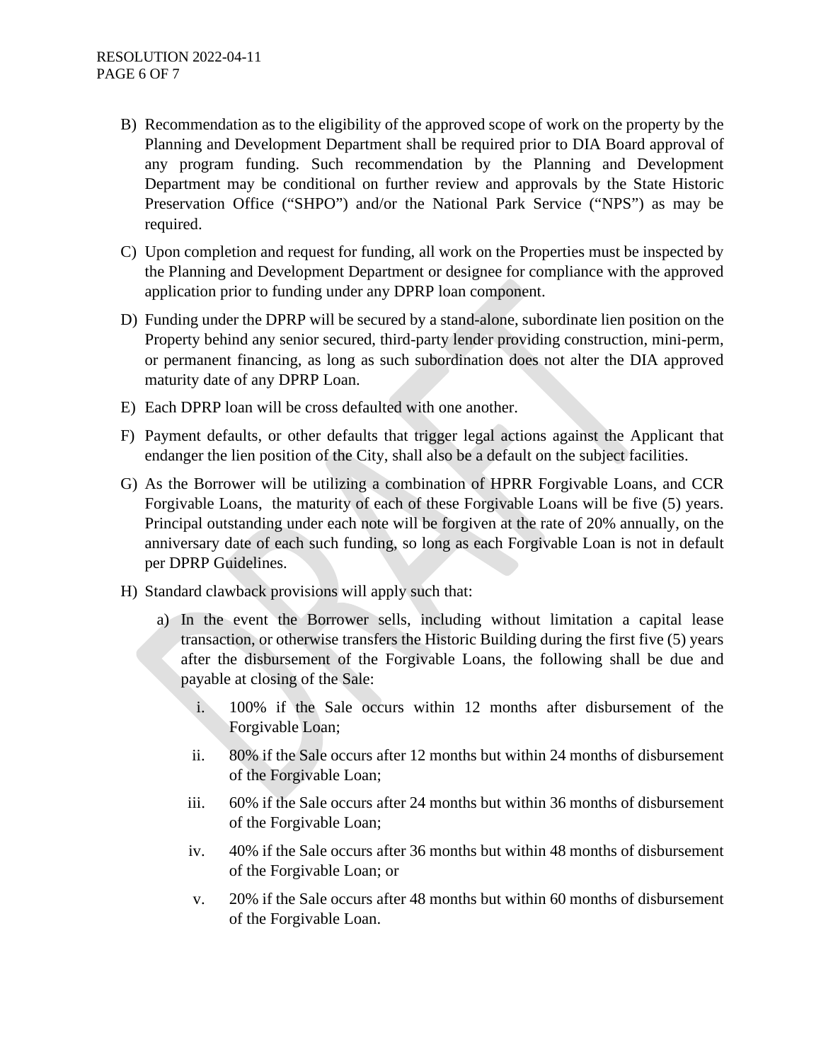- B) Recommendation as to the eligibility of the approved scope of work on the property by the Planning and Development Department shall be required prior to DIA Board approval of any program funding. Such recommendation by the Planning and Development Department may be conditional on further review and approvals by the State Historic Preservation Office ("SHPO") and/or the National Park Service ("NPS") as may be required.
- C) Upon completion and request for funding, all work on the Properties must be inspected by the Planning and Development Department or designee for compliance with the approved application prior to funding under any DPRP loan component.
- D) Funding under the DPRP will be secured by a stand-alone, subordinate lien position on the Property behind any senior secured, third-party lender providing construction, mini-perm, or permanent financing, as long as such subordination does not alter the DIA approved maturity date of any DPRP Loan.
- E) Each DPRP loan will be cross defaulted with one another.
- F) Payment defaults, or other defaults that trigger legal actions against the Applicant that endanger the lien position of the City, shall also be a default on the subject facilities.
- G) As the Borrower will be utilizing a combination of HPRR Forgivable Loans, and CCR Forgivable Loans, the maturity of each of these Forgivable Loans will be five (5) years. Principal outstanding under each note will be forgiven at the rate of 20% annually, on the anniversary date of each such funding, so long as each Forgivable Loan is not in default per DPRP Guidelines.
- H) Standard clawback provisions will apply such that:
	- a) In the event the Borrower sells, including without limitation a capital lease transaction, or otherwise transfers the Historic Building during the first five (5) years after the disbursement of the Forgivable Loans, the following shall be due and payable at closing of the Sale:
		- i. 100% if the Sale occurs within 12 months after disbursement of the Forgivable Loan;
		- ii. 80% if the Sale occurs after 12 months but within 24 months of disbursement of the Forgivable Loan;
		- iii. 60% if the Sale occurs after 24 months but within 36 months of disbursement of the Forgivable Loan;
		- iv. 40% if the Sale occurs after 36 months but within 48 months of disbursement of the Forgivable Loan; or
		- v. 20% if the Sale occurs after 48 months but within 60 months of disbursement of the Forgivable Loan.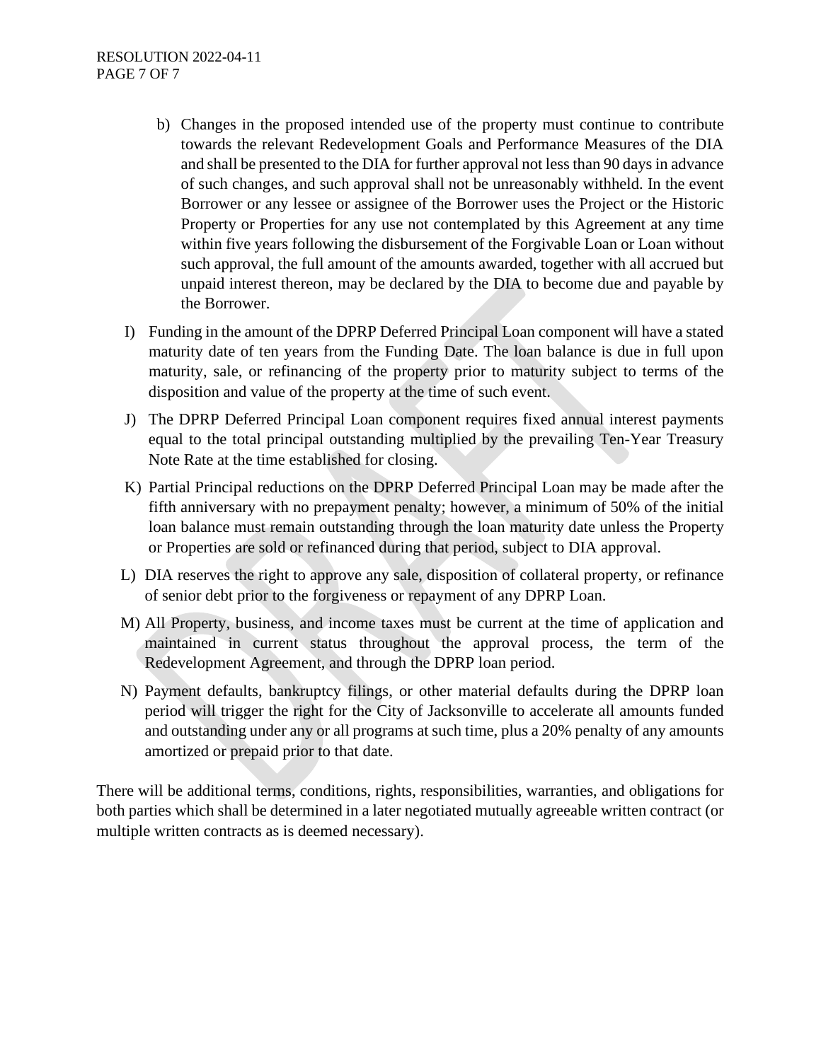- b) Changes in the proposed intended use of the property must continue to contribute towards the relevant Redevelopment Goals and Performance Measures of the DIA and shall be presented to the DIA for further approval not less than 90 days in advance of such changes, and such approval shall not be unreasonably withheld. In the event Borrower or any lessee or assignee of the Borrower uses the Project or the Historic Property or Properties for any use not contemplated by this Agreement at any time within five years following the disbursement of the Forgivable Loan or Loan without such approval, the full amount of the amounts awarded, together with all accrued but unpaid interest thereon, may be declared by the DIA to become due and payable by the Borrower.
- I) Funding in the amount of the DPRP Deferred Principal Loan component will have a stated maturity date of ten years from the Funding Date. The loan balance is due in full upon maturity, sale, or refinancing of the property prior to maturity subject to terms of the disposition and value of the property at the time of such event.
- J) The DPRP Deferred Principal Loan component requires fixed annual interest payments equal to the total principal outstanding multiplied by the prevailing Ten-Year Treasury Note Rate at the time established for closing.
- K) Partial Principal reductions on the DPRP Deferred Principal Loan may be made after the fifth anniversary with no prepayment penalty; however, a minimum of 50% of the initial loan balance must remain outstanding through the loan maturity date unless the Property or Properties are sold or refinanced during that period, subject to DIA approval.
- L) DIA reserves the right to approve any sale, disposition of collateral property, or refinance of senior debt prior to the forgiveness or repayment of any DPRP Loan.
- M) All Property, business, and income taxes must be current at the time of application and maintained in current status throughout the approval process, the term of the Redevelopment Agreement, and through the DPRP loan period.
- N) Payment defaults, bankruptcy filings, or other material defaults during the DPRP loan period will trigger the right for the City of Jacksonville to accelerate all amounts funded and outstanding under any or all programs at such time, plus a 20% penalty of any amounts amortized or prepaid prior to that date.

There will be additional terms, conditions, rights, responsibilities, warranties, and obligations for both parties which shall be determined in a later negotiated mutually agreeable written contract (or multiple written contracts as is deemed necessary).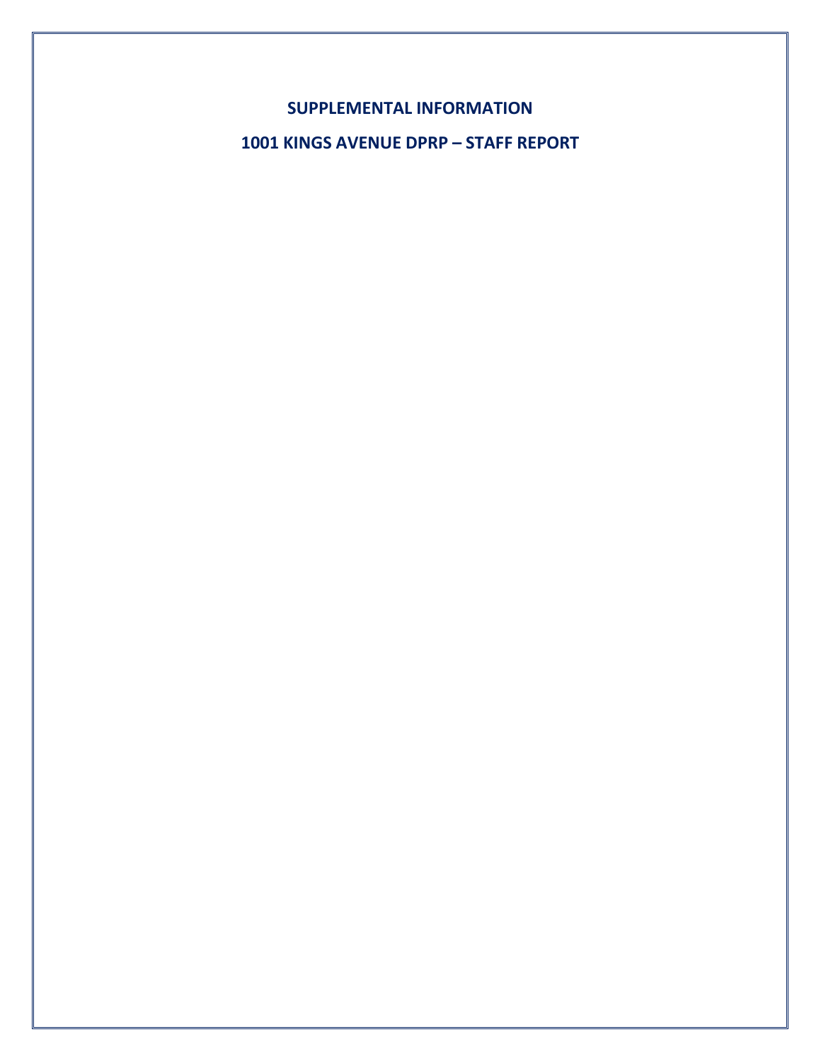**SUPPLEMENTAL INFORMATION**

**1001 KINGS AVENUE DPRP – STAFF REPORT**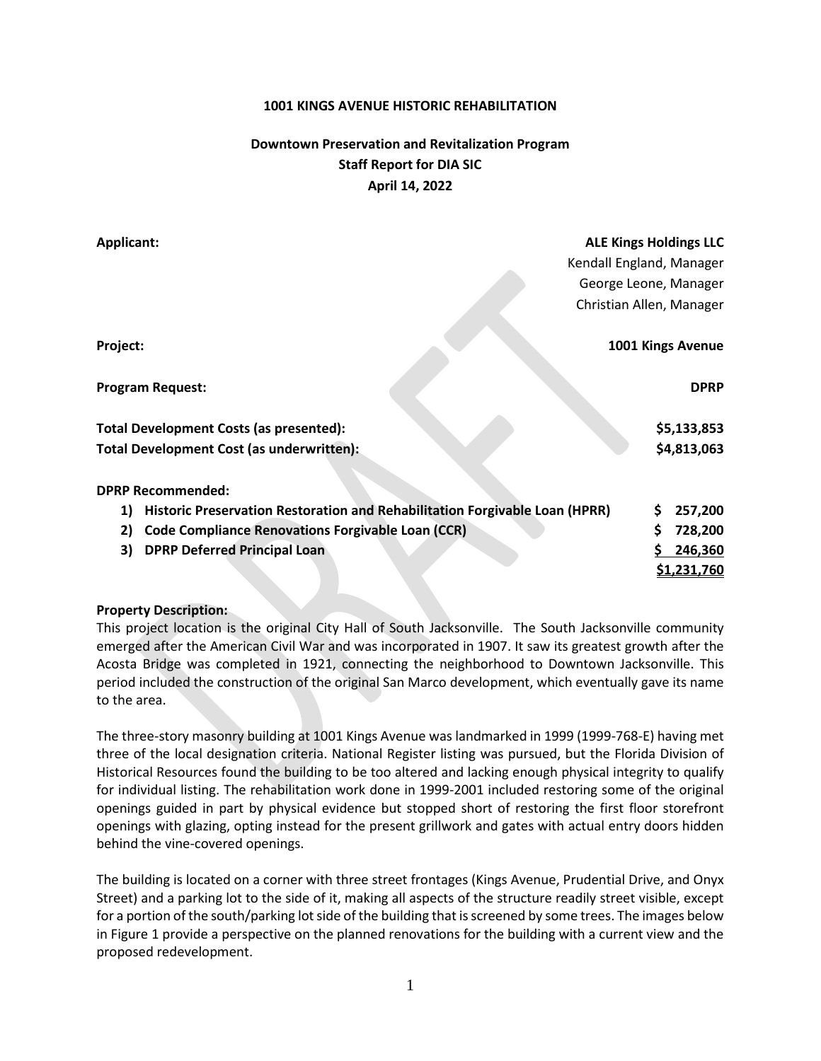#### **1001 KINGS AVENUE HISTORIC REHABILITATION**

# **Downtown Preservation and Revitalization Program Staff Report for DIA SIC April 14, 2022**

| <b>Applicant:</b>                                                                 | <b>ALE Kings Holdings LLC</b> |  |  |  |
|-----------------------------------------------------------------------------------|-------------------------------|--|--|--|
|                                                                                   | Kendall England, Manager      |  |  |  |
|                                                                                   | George Leone, Manager         |  |  |  |
|                                                                                   | Christian Allen, Manager      |  |  |  |
| Project:                                                                          | 1001 Kings Avenue             |  |  |  |
| <b>Program Request:</b>                                                           | <b>DPRP</b>                   |  |  |  |
| Total Development Costs (as presented):                                           | \$5,133,853                   |  |  |  |
| Total Development Cost (as underwritten):                                         | \$4,813,063                   |  |  |  |
| <b>DPRP Recommended:</b>                                                          |                               |  |  |  |
| Historic Preservation Restoration and Rehabilitation Forgivable Loan (HPRR)<br>1) | \$<br>257,200                 |  |  |  |
| <b>Code Compliance Renovations Forgivable Loan (CCR)</b><br>2)                    | Ś<br>728,200                  |  |  |  |
| <b>DPRP Deferred Principal Loan</b><br>3)                                         | 246,360                       |  |  |  |
|                                                                                   | <u>\$1,231,760</u>            |  |  |  |

#### **Property Description:**

This project location is the original City Hall of South Jacksonville. The South Jacksonville community emerged after the American Civil War and was incorporated in 1907. It saw its greatest growth after the Acosta Bridge was completed in 1921, connecting the neighborhood to Downtown Jacksonville. This period included the construction of the original San Marco development, which eventually gave its name to the area.

The three-story masonry building at 1001 Kings Avenue was landmarked in 1999 (1999-768-E) having met three of the local designation criteria. National Register listing was pursued, but the Florida Division of Historical Resources found the building to be too altered and lacking enough physical integrity to qualify for individual listing. The rehabilitation work done in 1999-2001 included restoring some of the original openings guided in part by physical evidence but stopped short of restoring the first floor storefront openings with glazing, opting instead for the present grillwork and gates with actual entry doors hidden behind the vine-covered openings.

The building is located on a corner with three street frontages (Kings Avenue, Prudential Drive, and Onyx Street) and a parking lot to the side of it, making all aspects of the structure readily street visible, except for a portion of the south/parking lot side of the building that is screened by some trees. The images below in Figure 1 provide a perspective on the planned renovations for the building with a current view and the proposed redevelopment.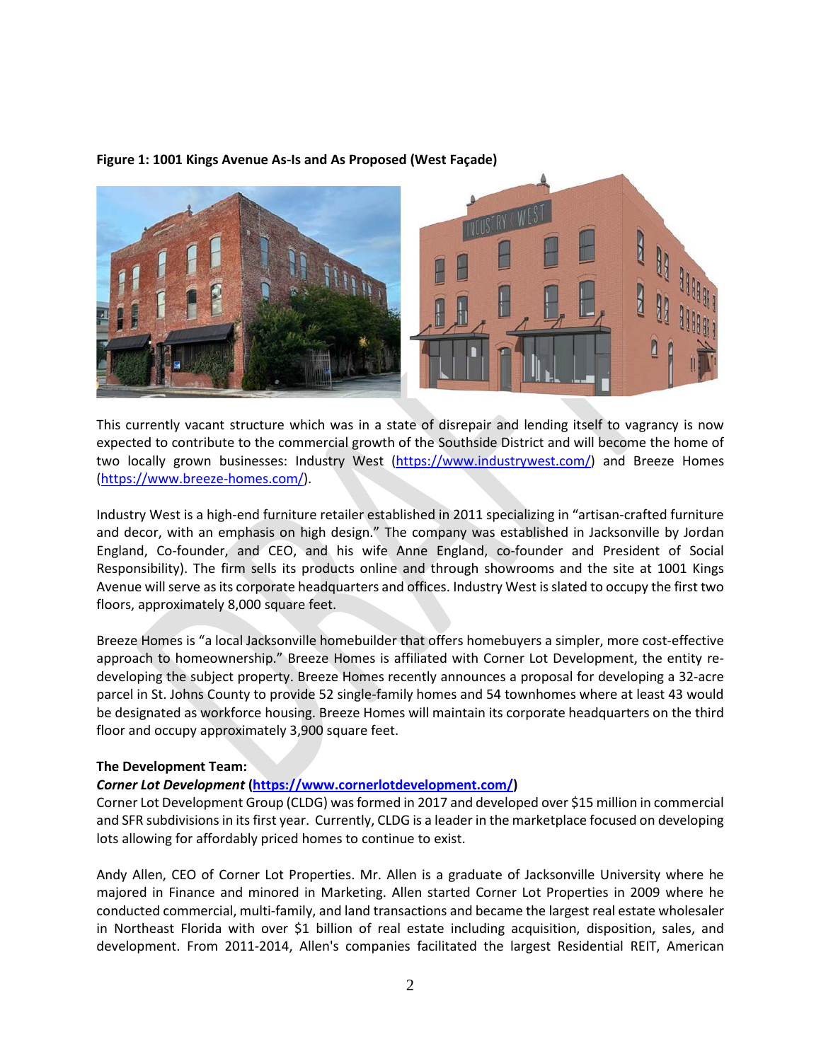#### **Figure 1: 1001 Kings Avenue As-Is and As Proposed (West Façade)**



This currently vacant structure which was in a state of disrepair and lending itself to vagrancy is now expected to contribute to the commercial growth of the Southside District and will become the home of two locally grown businesses: Industry West [\(https://www.industrywest.com/\)](https://www.industrywest.com/) and Breeze Homes [\(https://www.breeze-homes.com/\)](https://www.breeze-homes.com/).

Industry West is a high-end furniture retailer established in 2011 specializing in "artisan-crafted furniture and decor, with an emphasis on high design." The company was established in Jacksonville by Jordan England, Co-founder, and CEO, and his wife Anne England, co-founder and President of Social Responsibility). The firm sells its products online and through showrooms and the site at 1001 Kings Avenue will serve as its corporate headquarters and offices. Industry West is slated to occupy the first two floors, approximately 8,000 square feet.

Breeze Homes is "a local Jacksonville homebuilder that offers homebuyers a simpler, more cost-effective approach to homeownership." Breeze Homes is affiliated with Corner Lot Development, the entity redeveloping the subject property. Breeze Homes recently announces a proposal for developing a 32-acre parcel in St. Johns County to provide 52 single-family homes and 54 townhomes where at least 43 would be designated as workforce housing. Breeze Homes will maintain its corporate headquarters on the third floor and occupy approximately 3,900 square feet.

#### **The Development Team:**

#### *Corner Lot Development* **[\(https://www.cornerlotdevelopment.com/\)](https://www.cornerlotdevelopment.com/)**

Corner Lot Development Group (CLDG) was formed in 2017 and developed over \$15 million in commercial and SFR subdivisions in its first year. Currently, CLDG is a leader in the marketplace focused on developing lots allowing for affordably priced homes to continue to exist.

Andy Allen, CEO of Corner Lot Properties. Mr. Allen is a graduate of Jacksonville University where he majored in Finance and minored in Marketing. Allen started Corner Lot Properties in 2009 where he conducted commercial, multi-family, and land transactions and became the largest real estate wholesaler in Northeast Florida with over \$1 billion of real estate including acquisition, disposition, sales, and development. From 2011-2014, Allen's companies facilitated the largest Residential REIT, American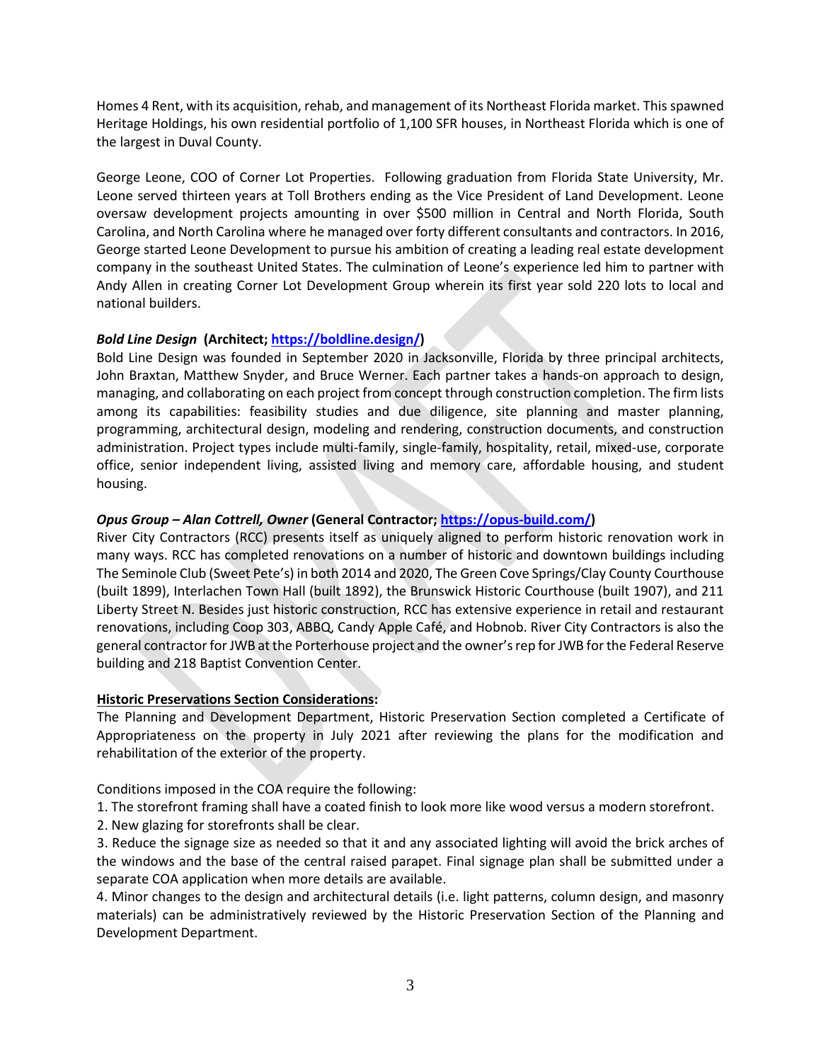Homes 4 Rent, with its acquisition, rehab, and management of its Northeast Florida market. This spawned Heritage Holdings, his own residential portfolio of 1,100 SFR houses, in Northeast Florida which is one of the largest in Duval County.

George Leone, COO of Corner Lot Properties. Following graduation from Florida State University, Mr. Leone served thirteen years at Toll Brothers ending as the Vice President of Land Development. Leone oversaw development projects amounting in over \$500 million in Central and North Florida, South Carolina, and North Carolina where he managed over forty different consultants and contractors. In 2016, George started Leone Development to pursue his ambition of creating a leading real estate development company in the southeast United States. The culmination of Leone's experience led him to partner with Andy Allen in creating Corner Lot Development Group wherein its first year sold 220 lots to local and national builders.

#### *Bold Line Design* **(Architect; [https://boldline.design/\)](https://boldline.design/)**

Bold Line Design was founded in September 2020 in Jacksonville, Florida by three principal architects, John Braxtan, Matthew Snyder, and Bruce Werner. Each partner takes a hands-on approach to design, managing, and collaborating on each project from concept through construction completion. The firm lists among its capabilities: feasibility studies and due diligence, site planning and master planning, programming, architectural design, modeling and rendering, construction documents, and construction administration. Project types include multi-family, single-family, hospitality, retail, mixed-use, corporate office, senior independent living, assisted living and memory care, affordable housing, and student housing.

#### *Opus Group – Alan Cottrell, Owner* **(General Contractor[; https://opus-build.com/\)](https://opus-build.com/)**

River City Contractors (RCC) presents itself as uniquely aligned to perform historic renovation work in many ways. RCC has completed renovations on a number of historic and downtown buildings including The Seminole Club (Sweet Pete's) in both 2014 and 2020, The Green Cove Springs/Clay County Courthouse (built 1899), Interlachen Town Hall (built 1892), the Brunswick Historic Courthouse (built 1907), and 211 Liberty Street N. Besides just historic construction, RCC has extensive experience in retail and restaurant renovations, including Coop 303, ABBQ, Candy Apple Café, and Hobnob. River City Contractors is also the general contractor for JWB at the Porterhouse project and the owner'srep for JWB for the Federal Reserve building and 218 Baptist Convention Center.

#### **Historic Preservations Section Considerations:**

The Planning and Development Department, Historic Preservation Section completed a Certificate of Appropriateness on the property in July 2021 after reviewing the plans for the modification and rehabilitation of the exterior of the property.

Conditions imposed in the COA require the following:

1. The storefront framing shall have a coated finish to look more like wood versus a modern storefront.

2. New glazing for storefronts shall be clear.

3. Reduce the signage size as needed so that it and any associated lighting will avoid the brick arches of the windows and the base of the central raised parapet. Final signage plan shall be submitted under a separate COA application when more details are available.

4. Minor changes to the design and architectural details (i.e. light patterns, column design, and masonry materials) can be administratively reviewed by the Historic Preservation Section of the Planning and Development Department.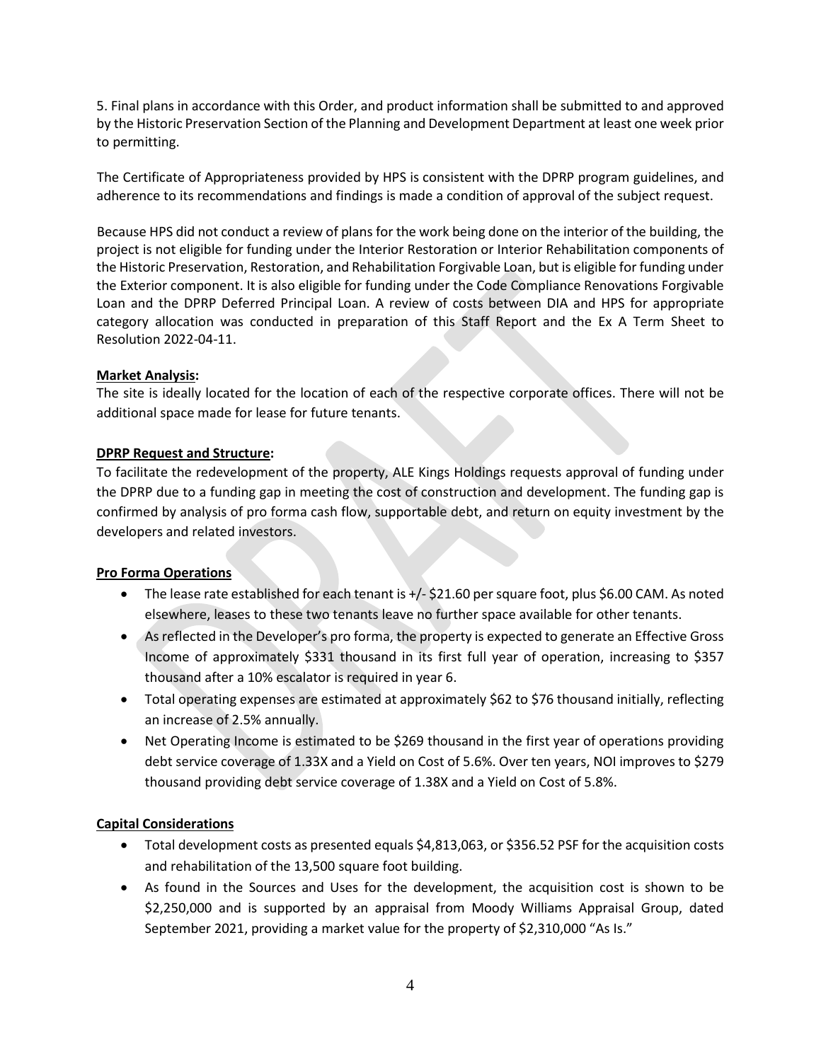5. Final plans in accordance with this Order, and product information shall be submitted to and approved by the Historic Preservation Section of the Planning and Development Department at least one week prior to permitting.

The Certificate of Appropriateness provided by HPS is consistent with the DPRP program guidelines, and adherence to its recommendations and findings is made a condition of approval of the subject request.

Because HPS did not conduct a review of plans for the work being done on the interior of the building, the project is not eligible for funding under the Interior Restoration or Interior Rehabilitation components of the Historic Preservation, Restoration, and Rehabilitation Forgivable Loan, but is eligible for funding under the Exterior component. It is also eligible for funding under the Code Compliance Renovations Forgivable Loan and the DPRP Deferred Principal Loan. A review of costs between DIA and HPS for appropriate category allocation was conducted in preparation of this Staff Report and the Ex A Term Sheet to Resolution 2022-04-11.

#### **Market Analysis:**

The site is ideally located for the location of each of the respective corporate offices. There will not be additional space made for lease for future tenants.

#### **DPRP Request and Structure:**

To facilitate the redevelopment of the property, ALE Kings Holdings requests approval of funding under the DPRP due to a funding gap in meeting the cost of construction and development. The funding gap is confirmed by analysis of pro forma cash flow, supportable debt, and return on equity investment by the developers and related investors.

#### **Pro Forma Operations**

- The lease rate established for each tenant is +/- \$21.60 per square foot, plus \$6.00 CAM. As noted elsewhere, leases to these two tenants leave no further space available for other tenants.
- As reflected in the Developer's pro forma, the property is expected to generate an Effective Gross Income of approximately \$331 thousand in its first full year of operation, increasing to \$357 thousand after a 10% escalator is required in year 6.
- Total operating expenses are estimated at approximately \$62 to \$76 thousand initially, reflecting an increase of 2.5% annually.
- Net Operating Income is estimated to be \$269 thousand in the first year of operations providing debt service coverage of 1.33X and a Yield on Cost of 5.6%. Over ten years, NOI improves to \$279 thousand providing debt service coverage of 1.38X and a Yield on Cost of 5.8%.

#### **Capital Considerations**

- Total development costs as presented equals \$4,813,063, or \$356.52 PSF for the acquisition costs and rehabilitation of the 13,500 square foot building.
- As found in the Sources and Uses for the development, the acquisition cost is shown to be \$2,250,000 and is supported by an appraisal from Moody Williams Appraisal Group, dated September 2021, providing a market value for the property of \$2,310,000 "As Is."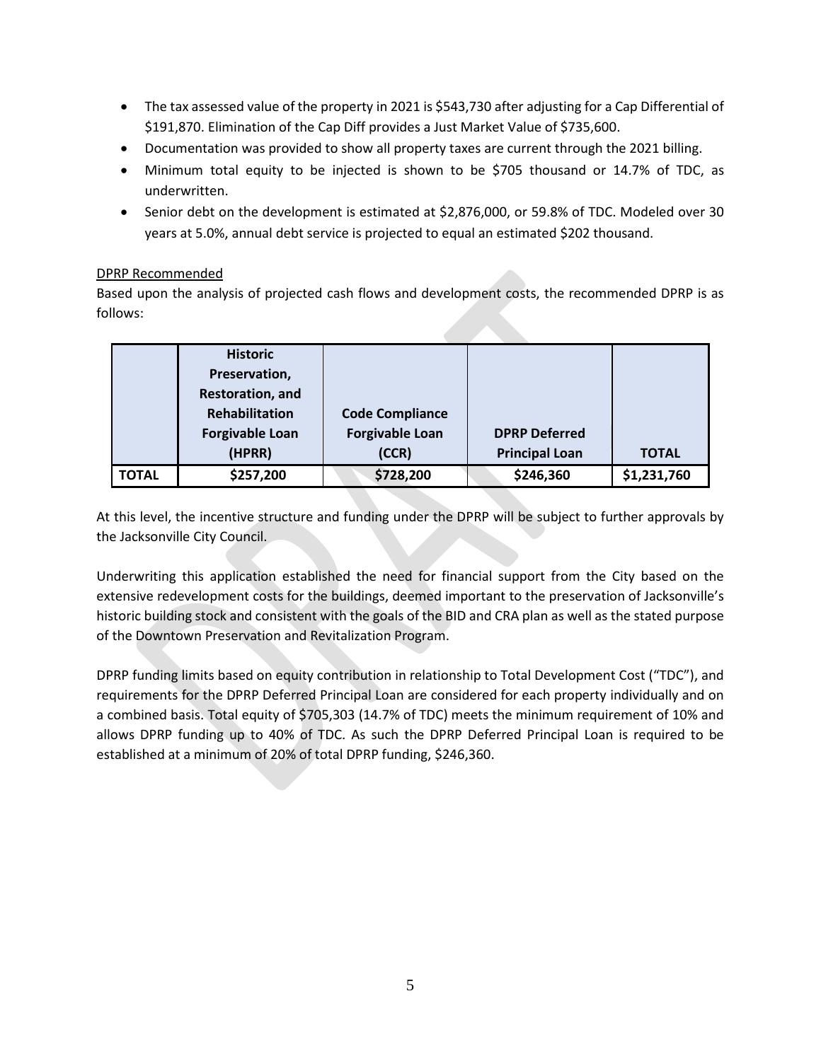- The tax assessed value of the property in 2021 is \$543,730 after adjusting for a Cap Differential of \$191,870. Elimination of the Cap Diff provides a Just Market Value of \$735,600.
- Documentation was provided to show all property taxes are current through the 2021 billing.
- Minimum total equity to be injected is shown to be \$705 thousand or 14.7% of TDC, as underwritten.
- Senior debt on the development is estimated at \$2,876,000, or 59.8% of TDC. Modeled over 30 years at 5.0%, annual debt service is projected to equal an estimated \$202 thousand.

#### DPRP Recommended

Based upon the analysis of projected cash flows and development costs, the recommended DPRP is as follows:

|              | <b>Historic</b>         |                        |                       |              |
|--------------|-------------------------|------------------------|-----------------------|--------------|
|              | Preservation,           |                        |                       |              |
|              | <b>Restoration, and</b> |                        |                       |              |
|              | Rehabilitation          | <b>Code Compliance</b> |                       |              |
|              | <b>Forgivable Loan</b>  | <b>Forgivable Loan</b> | <b>DPRP Deferred</b>  |              |
|              | (HPRR)                  | (CCR)                  | <b>Principal Loan</b> | <b>TOTAL</b> |
| <b>TOTAL</b> | \$257,200               | \$728,200              | \$246,360             | \$1,231,760  |

At this level, the incentive structure and funding under the DPRP will be subject to further approvals by the Jacksonville City Council.

Underwriting this application established the need for financial support from the City based on the extensive redevelopment costs for the buildings, deemed important to the preservation of Jacksonville's historic building stock and consistent with the goals of the BID and CRA plan as well as the stated purpose of the Downtown Preservation and Revitalization Program.

DPRP funding limits based on equity contribution in relationship to Total Development Cost ("TDC"), and requirements for the DPRP Deferred Principal Loan are considered for each property individually and on a combined basis. Total equity of \$705,303 (14.7% of TDC) meets the minimum requirement of 10% and allows DPRP funding up to 40% of TDC. As such the DPRP Deferred Principal Loan is required to be established at a minimum of 20% of total DPRP funding, \$246,360.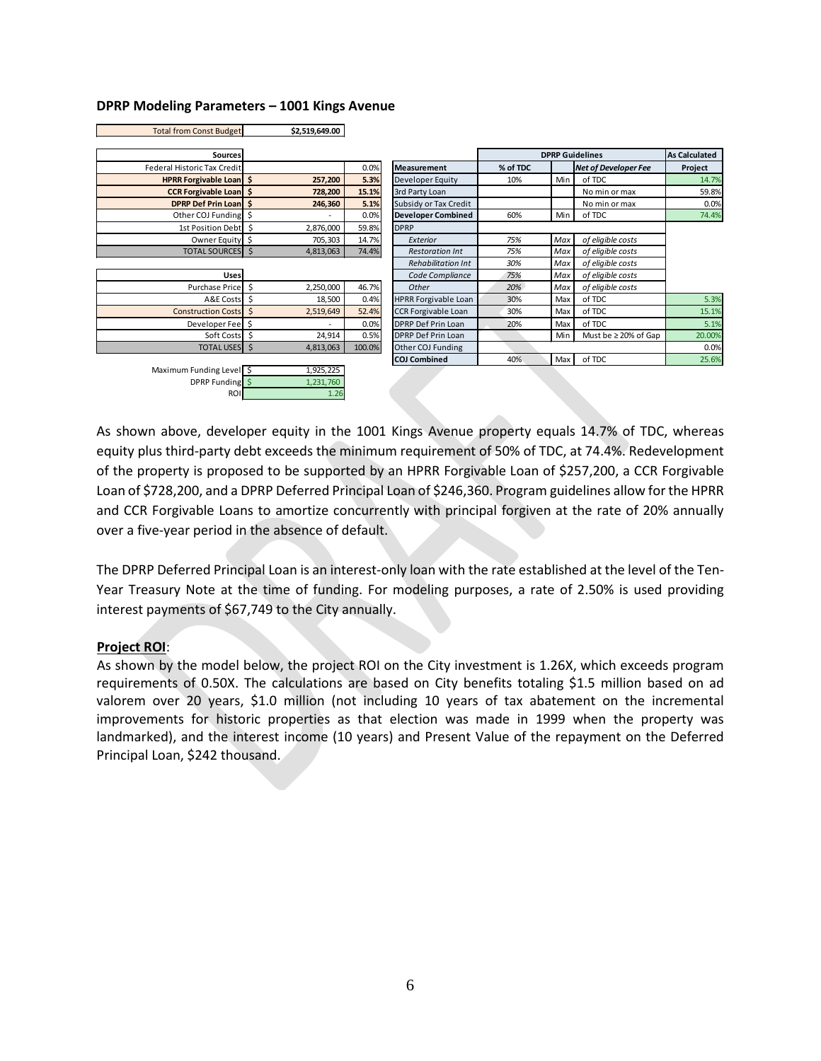#### **DPRP Modeling Parameters – 1001 Kings Avenue**

Total from Const Budget **\$2,519,649.00** 

|                         | 72,J1J,U4J.UU        | TOtal HOHL CONST DUUGET     |
|-------------------------|----------------------|-----------------------------|
|                         |                      |                             |
|                         |                      | <b>Sources</b>              |
| 0.0%<br>Meas            |                      | Federal Historic Tax Credit |
| 5.3%<br>Deve            | 257,200<br>\$        | <b>HPRR Forgivable Loan</b> |
| 3rd P<br>15.1%          | \$<br>728,200        | <b>CCR Forgivable Loan</b>  |
| 5.1%<br>Subsi           | \$<br>246,360        | <b>DPRP Def Prin Loan</b>   |
| 0.0%<br><b>Deve</b>     | \$                   | Other COJ Funding           |
| 59.8%<br><b>DPRP</b>    | \$<br>2,876,000      | 1st Position Debt           |
| 14.7%<br>E.             | \$<br>705,303        | Owner Equity                |
| 74.4%<br>$\overline{R}$ | $\zeta$<br>4,813,063 | <b>TOTAL SOURCES</b>        |
| $\overline{R}$          |                      |                             |
| C                       |                      | <b>Uses</b>                 |
| 46.7%<br>C              | \$<br>2,250,000      | <b>Purchase Price</b>       |
| 0.4%<br><b>HPRR</b>     | \$<br>18,500         | A&E Costs                   |
| <b>CCRF</b><br>52.4%    | \$<br>2,519,649      | <b>Construction Costs</b>   |
| 0.0%<br><b>DPRP</b>     | \$                   | Developer Fee               |
| 0.5%<br><b>DPRP</b>     | \$<br>24,914         | Soft Costs                  |
| 100.0%<br>Other         | \$<br>4,813,063      | <b>TOTAL USES</b>           |
| COJ C                   |                      |                             |
|                         | 1,925,225            | Maximum Funding Level \$    |
|                         | 1,231,760            | DPRP Funding \$             |
|                         | 1.26                 | <b>ROI</b>                  |

| <b>Sources</b>                |                |        |                             |          |     | <b>DPRP Guidelines</b>      | <b>As Calculated</b> |
|-------------------------------|----------------|--------|-----------------------------|----------|-----|-----------------------------|----------------------|
| Federal Historic Tax Credit   |                | 0.0%   | <b>Measurement</b>          | % of TDC |     | <b>Net of Developer Fee</b> | Project              |
| HPRR Forgivable Loan \$       | 257,200        | 5.3%   | Developer Equity            | 10%      | Min | of TDC                      | 14.7%                |
| <b>CCR Forgivable Loan</b> \$ | 728,200        | 15.1%  | 3rd Party Loan              |          |     | No min or max               | 59.8%                |
| DPRP Def Prin Loan S          | 246,360        | 5.1%   | Subsidy or Tax Credit       |          |     | No min or max               | 0.0%                 |
| Other COJ Funding \$          |                | 0.0%   | <b>Developer Combined</b>   | 60%      | Min | of TDC                      | 74.4%                |
| 1st Position Debt \$          | 2,876,000      | 59.8%  | <b>DPRP</b>                 |          |     |                             |                      |
| Owner Equity \$               | 705,303        | 14.7%  | Exterior                    | 75%      | Max | of eligible costs           |                      |
| TOTAL SOURCES S               | 4,813,063      | 74.4%  | <b>Restoration Int</b>      | 75%      | Max | of eligible costs           |                      |
|                               |                |        | <b>Rehabilitation Int</b>   | 30%      | Max | of eligible costs           |                      |
| <b>Uses</b>                   |                |        | Code Compliance             | 75%      | Max | of eligible costs           |                      |
| Purchase Price                | Ś<br>2,250,000 | 46.7%  | Other                       | 20%      | Max | of eligible costs           |                      |
| A&E Costs \$                  | 18,500         | 0.4%   | <b>HPRR Forgivable Loan</b> | 30%      | Max | of TDC                      | 5.3%                 |
| <b>Construction Costs</b>     | Ŝ<br>2,519,649 | 52.4%  | <b>CCR Forgivable Loan</b>  | 30%      | Max | of TDC                      | 15.1%                |
| Developer Fee                 |                | 0.0%   | DPRP Def Prin Loan          | 20%      | Max | of TDC                      | 5.1%                 |
| Soft Costs S                  | 24,914         | 0.5%   | DPRP Def Prin Loan          |          | Min | Must be $\geq 20\%$ of Gap  | 20.00%               |
| TOTAL USES \$                 | 4,813,063      | 100.0% | Other COJ Funding           |          |     |                             | 0.0%                 |
|                               |                |        | <b>COJ Combined</b>         | 40%      | Max | of TDC                      | 25.6%                |
| Maximum Funding Level S       | 1 975 775      |        |                             |          |     |                             |                      |

As shown above, developer equity in the 1001 Kings Avenue property equals 14.7% of TDC, whereas equity plus third-party debt exceeds the minimum requirement of 50% of TDC, at 74.4%. Redevelopment of the property is proposed to be supported by an HPRR Forgivable Loan of \$257,200, a CCR Forgivable Loan of \$728,200, and a DPRP Deferred Principal Loan of \$246,360. Program guidelines allow for the HPRR and CCR Forgivable Loans to amortize concurrently with principal forgiven at the rate of 20% annually over a five-year period in the absence of default.

The DPRP Deferred Principal Loan is an interest-only loan with the rate established at the level of the Ten-Year Treasury Note at the time of funding. For modeling purposes, a rate of 2.50% is used providing interest payments of \$67,749 to the City annually.

#### **Project ROI**:

As shown by the model below, the project ROI on the City investment is 1.26X, which exceeds program requirements of 0.50X. The calculations are based on City benefits totaling \$1.5 million based on ad valorem over 20 years, \$1.0 million (not including 10 years of tax abatement on the incremental improvements for historic properties as that election was made in 1999 when the property was landmarked), and the interest income (10 years) and Present Value of the repayment on the Deferred Principal Loan, \$242 thousand.